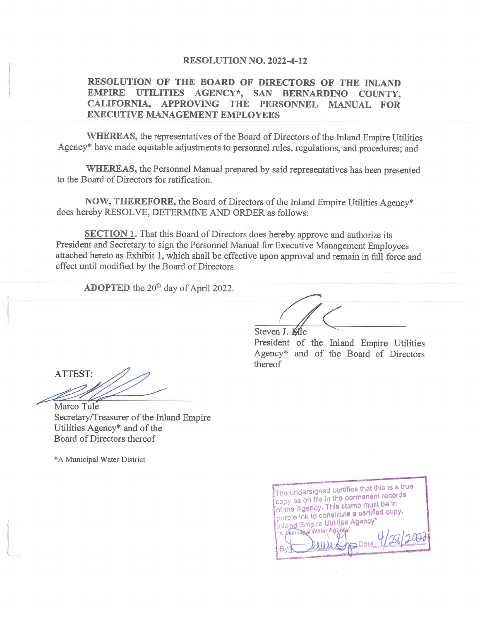#### RESOLUTION NO. 2022-4-12

#### RESOLUTION OF THE BOARD OF DIRECTORS OF THE INLAND EMPIRE UTILITIES AGENCY\*, SAN BERNARDINO COUNTY, CALIFORNIA, APPROVING THE PERSONNEL MANUAL FOR **EXECUTIVE MANAGEMENT EMPLOYEES**

WHEREAS, the representatives of the Board of Directors of the Inland Empire Utilities Agency\* have made equitable adjustments to personnel rules, regulations, and procedures; and

WHEREAS, the Personnel Manual prepared by said representatives has been presented to the Board of Directors for ratification.

NOW, THEREFORE, the Board of Directors of the Inland Empire Utilities Agency\* does hereby RESOLVE, DETERMINE AND ORDER as follows:

**SECTION 1.** That this Board of Directors does hereby approve and authorize its President and Secretary to sign the Personnel Manual for Executive Management Employees attached hereto as Exhibit 1, which shall be effective upon approval and remain in full force and effect until modified by the Board of Directors.

ADOPTED the 20<sup>th</sup> day of April 2022.

Steven J. Mie President of the Inland Empire Utilities Agency\* and of the Board of Directors thereof

ATTEST: Marco Tule

Secretary/Treasurer of the Inland Empire Utilities Agency\* and of the Board of Directors thereof

\*A Municipal Water District

The undersigned certifies that this is a true copy as on file in the permanent records of the Agency. This stamp must be in purple ink to constitute a certified copy. Inland Empire Utilities Agency\* \*A Municipal Water Agency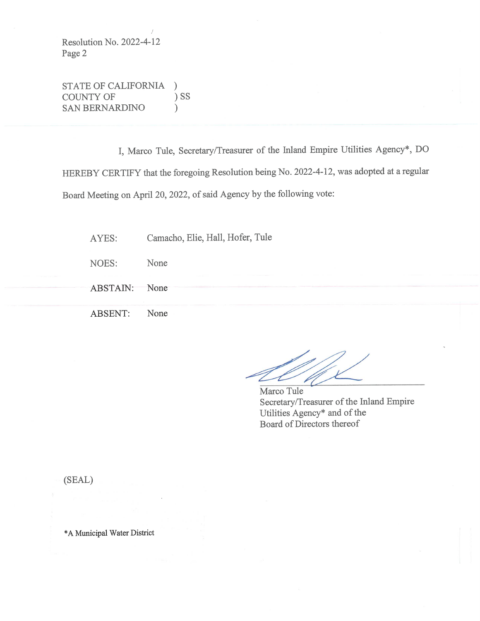Resolution No. 2022-4-12 Page 2

STATE OF CALIFORNIA  $\mathcal{C}$  $)$  SS COUNTY OF **SAN BERNARDINO**  $\mathcal{L}$ 

I, Marco Tule, Secretary/Treasurer of the Inland Empire Utilities Agency\*, DO HEREBY CERTIFY that the foregoing Resolution being No. 2022-4-12, was adopted at a regular Board Meeting on April 20, 2022, of said Agency by the following vote:

Camacho, Elie, Hall, Hofer, Tule AYES:

NOES: None

ABSTAIN: None

ABSENT: None

Marco Tule Secretary/Treasurer of the Inland Empire Utilities Agency\* and of the Board of Directors thereof

(SEAL)

\*A Municipal Water District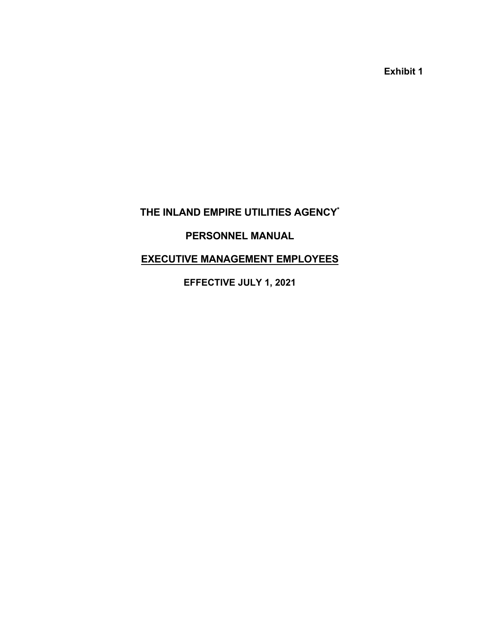**Exhibit 1** 

# **THE INLAND EMPIRE UTILITIES AGENCY\***

# **PERSONNEL MANUAL**

# **EXECUTIVE MANAGEMENT EMPLOYEES**

**EFFECTIVE JULY 1, 2021**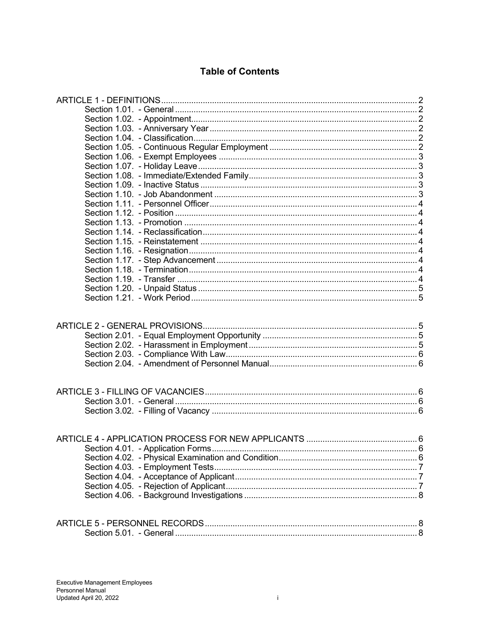# **Table of Contents**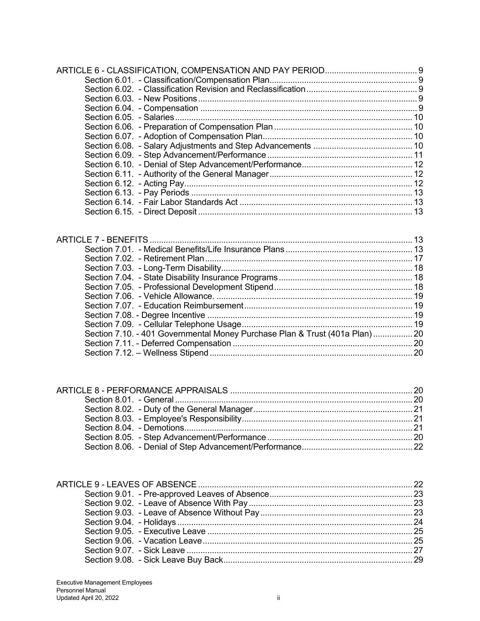| Section 7.10. - 401 Governmental Money Purchase Plan & Trust (401a Plan) 20 |  |
|-----------------------------------------------------------------------------|--|
|                                                                             |  |
|                                                                             |  |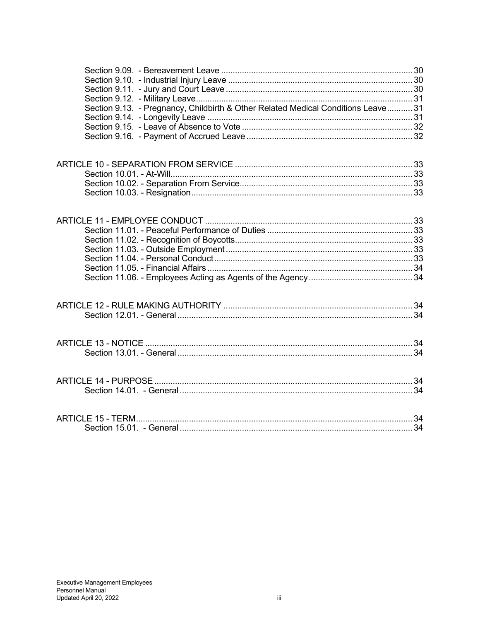| Section 9.13. - Pregnancy, Childbirth & Other Related Medical Conditions Leave 31 |  |
|-----------------------------------------------------------------------------------|--|
|                                                                                   |  |
|                                                                                   |  |
|                                                                                   |  |
|                                                                                   |  |
|                                                                                   |  |
|                                                                                   |  |
|                                                                                   |  |
|                                                                                   |  |
|                                                                                   |  |
|                                                                                   |  |
|                                                                                   |  |
|                                                                                   |  |
|                                                                                   |  |
|                                                                                   |  |
|                                                                                   |  |
|                                                                                   |  |
|                                                                                   |  |
|                                                                                   |  |
|                                                                                   |  |
|                                                                                   |  |
|                                                                                   |  |
|                                                                                   |  |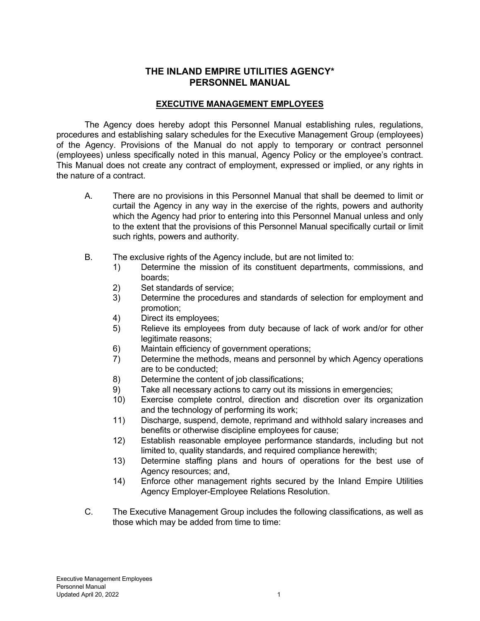# **THE INLAND EMPIRE UTILITIES AGENCY\* PERSONNEL MANUAL**

# **EXECUTIVE MANAGEMENT EMPLOYEES**

 The Agency does hereby adopt this Personnel Manual establishing rules, regulations, procedures and establishing salary schedules for the Executive Management Group (employees) of the Agency. Provisions of the Manual do not apply to temporary or contract personnel (employees) unless specifically noted in this manual, Agency Policy or the employee's contract. This Manual does not create any contract of employment, expressed or implied, or any rights in the nature of a contract.

- A. There are no provisions in this Personnel Manual that shall be deemed to limit or curtail the Agency in any way in the exercise of the rights, powers and authority which the Agency had prior to entering into this Personnel Manual unless and only to the extent that the provisions of this Personnel Manual specifically curtail or limit such rights, powers and authority.
- B. The exclusive rights of the Agency include, but are not limited to:
	- 1) Determine the mission of its constituent departments, commissions, and boards;
	- 2) Set standards of service;
	- 3) Determine the procedures and standards of selection for employment and promotion;
	- 4) Direct its employees;
	- 5) Relieve its employees from duty because of lack of work and/or for other legitimate reasons;
	- 6) Maintain efficiency of government operations;
	- 7) Determine the methods, means and personnel by which Agency operations are to be conducted;
	- 8) Determine the content of job classifications;
	- 9) Take all necessary actions to carry out its missions in emergencies;
	- 10) Exercise complete control, direction and discretion over its organization and the technology of performing its work;
	- 11) Discharge, suspend, demote, reprimand and withhold salary increases and benefits or otherwise discipline employees for cause;
	- 12) Establish reasonable employee performance standards, including but not limited to, quality standards, and required compliance herewith;
	- 13) Determine staffing plans and hours of operations for the best use of Agency resources; and,
	- 14) Enforce other management rights secured by the Inland Empire Utilities Agency Employer-Employee Relations Resolution.
- C. The Executive Management Group includes the following classifications, as well as those which may be added from time to time: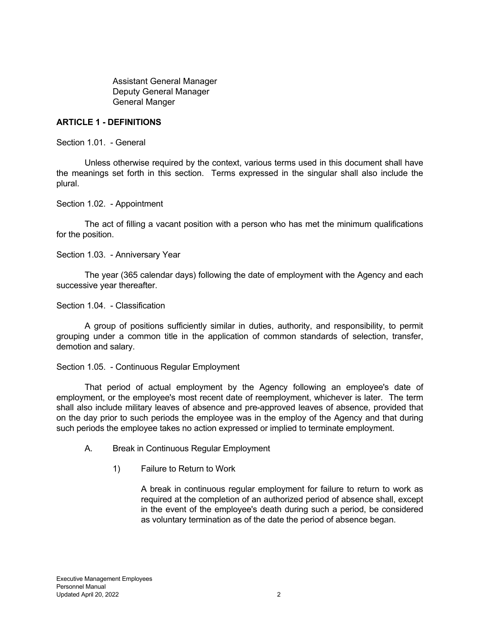Assistant General Manager Deputy General Manager General Manger

## **ARTICLE 1 - DEFINITIONS**

Section 1.01. - General

 Unless otherwise required by the context, various terms used in this document shall have the meanings set forth in this section. Terms expressed in the singular shall also include the plural.

Section 1.02. - Appointment

 The act of filling a vacant position with a person who has met the minimum qualifications for the position.

Section 1.03. - Anniversary Year

 The year (365 calendar days) following the date of employment with the Agency and each successive year thereafter.

Section 1.04. - Classification

 A group of positions sufficiently similar in duties, authority, and responsibility, to permit grouping under a common title in the application of common standards of selection, transfer, demotion and salary.

#### Section 1.05. - Continuous Regular Employment

 That period of actual employment by the Agency following an employee's date of employment, or the employee's most recent date of reemployment, whichever is later. The term shall also include military leaves of absence and pre-approved leaves of absence, provided that on the day prior to such periods the employee was in the employ of the Agency and that during such periods the employee takes no action expressed or implied to terminate employment.

- A. Break in Continuous Regular Employment
	- 1) Failure to Return to Work

 A break in continuous regular employment for failure to return to work as required at the completion of an authorized period of absence shall, except in the event of the employee's death during such a period, be considered as voluntary termination as of the date the period of absence began.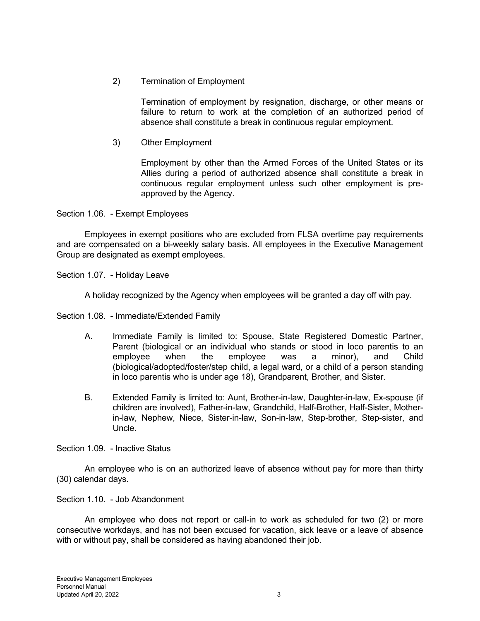2) Termination of Employment

 Termination of employment by resignation, discharge, or other means or failure to return to work at the completion of an authorized period of absence shall constitute a break in continuous regular employment.

3) Other Employment

 Employment by other than the Armed Forces of the United States or its Allies during a period of authorized absence shall constitute a break in continuous regular employment unless such other employment is preapproved by the Agency.

Section 1.06. - Exempt Employees

 Employees in exempt positions who are excluded from FLSA overtime pay requirements and are compensated on a bi-weekly salary basis. All employees in the Executive Management Group are designated as exempt employees.

Section 1.07. - Holiday Leave

A holiday recognized by the Agency when employees will be granted a day off with pay.

Section 1.08. - Immediate/Extended Family

- A. Immediate Family is limited to: Spouse, State Registered Domestic Partner, Parent (biological or an individual who stands or stood in loco parentis to an employee when the employee was a minor), and Child (biological/adopted/foster/step child, a legal ward, or a child of a person standing in loco parentis who is under age 18), Grandparent, Brother, and Sister.
- B. Extended Family is limited to: Aunt, Brother-in-law, Daughter-in-law, Ex-spouse (if children are involved), Father-in-law, Grandchild, Half-Brother, Half-Sister, Motherin-law, Nephew, Niece, Sister-in-law, Son-in-law, Step-brother, Step-sister, and Uncle.

Section 1.09. - Inactive Status

 An employee who is on an authorized leave of absence without pay for more than thirty (30) calendar days.

# Section 1.10. - Job Abandonment

 An employee who does not report or call-in to work as scheduled for two (2) or more consecutive workdays, and has not been excused for vacation, sick leave or a leave of absence with or without pay, shall be considered as having abandoned their job.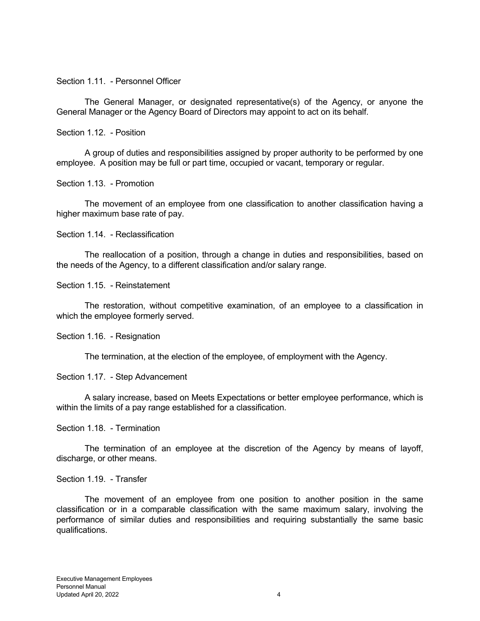Section 1.11. - Personnel Officer

 The General Manager, or designated representative(s) of the Agency, or anyone the General Manager or the Agency Board of Directors may appoint to act on its behalf.

#### Section 1.12. - Position

 A group of duties and responsibilities assigned by proper authority to be performed by one employee. A position may be full or part time, occupied or vacant, temporary or regular.

Section 1.13. - Promotion

 The movement of an employee from one classification to another classification having a higher maximum base rate of pay.

Section 1.14. - Reclassification

 The reallocation of a position, through a change in duties and responsibilities, based on the needs of the Agency, to a different classification and/or salary range.

Section 1.15. - Reinstatement

 The restoration, without competitive examination, of an employee to a classification in which the employee formerly served.

Section 1.16. - Resignation

The termination, at the election of the employee, of employment with the Agency.

Section 1.17. - Step Advancement

 A salary increase, based on Meets Expectations or better employee performance, which is within the limits of a pay range established for a classification.

Section 1.18. - Termination

 The termination of an employee at the discretion of the Agency by means of layoff, discharge, or other means.

Section 1.19. - Transfer

 The movement of an employee from one position to another position in the same classification or in a comparable classification with the same maximum salary, involving the performance of similar duties and responsibilities and requiring substantially the same basic qualifications.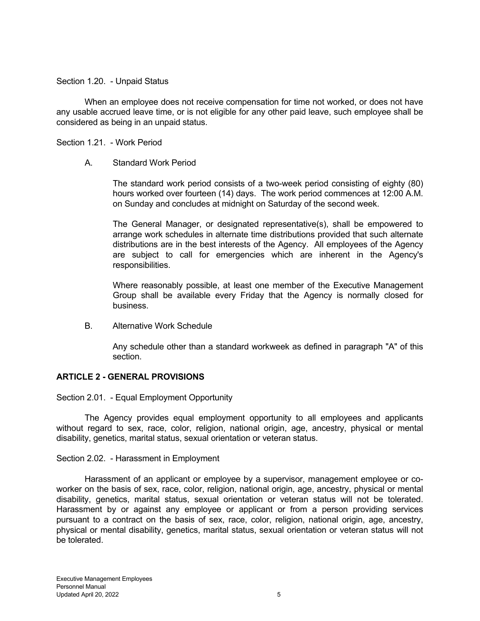#### Section 1.20. - Unpaid Status

 When an employee does not receive compensation for time not worked, or does not have any usable accrued leave time, or is not eligible for any other paid leave, such employee shall be considered as being in an unpaid status.

Section 1.21. - Work Period

## A. Standard Work Period

 The standard work period consists of a two-week period consisting of eighty (80) hours worked over fourteen (14) days. The work period commences at 12:00 A.M. on Sunday and concludes at midnight on Saturday of the second week.

 The General Manager, or designated representative(s), shall be empowered to arrange work schedules in alternate time distributions provided that such alternate distributions are in the best interests of the Agency. All employees of the Agency are subject to call for emergencies which are inherent in the Agency's responsibilities.

 Where reasonably possible, at least one member of the Executive Management Group shall be available every Friday that the Agency is normally closed for business.

B. Alternative Work Schedule

 Any schedule other than a standard workweek as defined in paragraph "A" of this section.

# **ARTICLE 2 - GENERAL PROVISIONS**

Section 2.01. - Equal Employment Opportunity

 The Agency provides equal employment opportunity to all employees and applicants without regard to sex, race, color, religion, national origin, age, ancestry, physical or mental disability, genetics, marital status, sexual orientation or veteran status.

#### Section 2.02. - Harassment in Employment

 Harassment of an applicant or employee by a supervisor, management employee or coworker on the basis of sex, race, color, religion, national origin, age, ancestry, physical or mental disability, genetics, marital status, sexual orientation or veteran status will not be tolerated. Harassment by or against any employee or applicant or from a person providing services pursuant to a contract on the basis of sex, race, color, religion, national origin, age, ancestry, physical or mental disability, genetics, marital status, sexual orientation or veteran status will not be tolerated.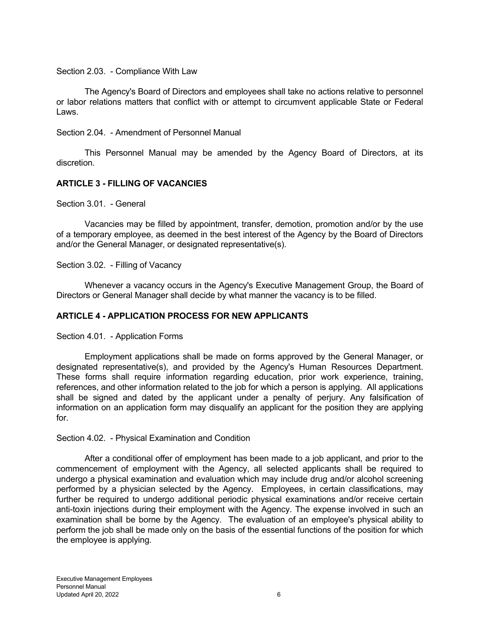Section 2.03. - Compliance With Law

 The Agency's Board of Directors and employees shall take no actions relative to personnel or labor relations matters that conflict with or attempt to circumvent applicable State or Federal Laws.

Section 2.04. - Amendment of Personnel Manual

 This Personnel Manual may be amended by the Agency Board of Directors, at its discretion.

# **ARTICLE 3 - FILLING OF VACANCIES**

Section 3.01. - General

 Vacancies may be filled by appointment, transfer, demotion, promotion and/or by the use of a temporary employee, as deemed in the best interest of the Agency by the Board of Directors and/or the General Manager, or designated representative(s).

Section 3.02. - Filling of Vacancy

 Whenever a vacancy occurs in the Agency's Executive Management Group, the Board of Directors or General Manager shall decide by what manner the vacancy is to be filled.

# **ARTICLE 4 - APPLICATION PROCESS FOR NEW APPLICANTS**

Section 4.01. - Application Forms

 Employment applications shall be made on forms approved by the General Manager, or designated representative(s), and provided by the Agency's Human Resources Department. These forms shall require information regarding education, prior work experience, training, references, and other information related to the job for which a person is applying. All applications shall be signed and dated by the applicant under a penalty of perjury. Any falsification of information on an application form may disqualify an applicant for the position they are applying for.

Section 4.02. - Physical Examination and Condition

 After a conditional offer of employment has been made to a job applicant, and prior to the commencement of employment with the Agency, all selected applicants shall be required to undergo a physical examination and evaluation which may include drug and/or alcohol screening performed by a physician selected by the Agency. Employees, in certain classifications, may further be required to undergo additional periodic physical examinations and/or receive certain anti-toxin injections during their employment with the Agency. The expense involved in such an examination shall be borne by the Agency. The evaluation of an employee's physical ability to perform the job shall be made only on the basis of the essential functions of the position for which the employee is applying.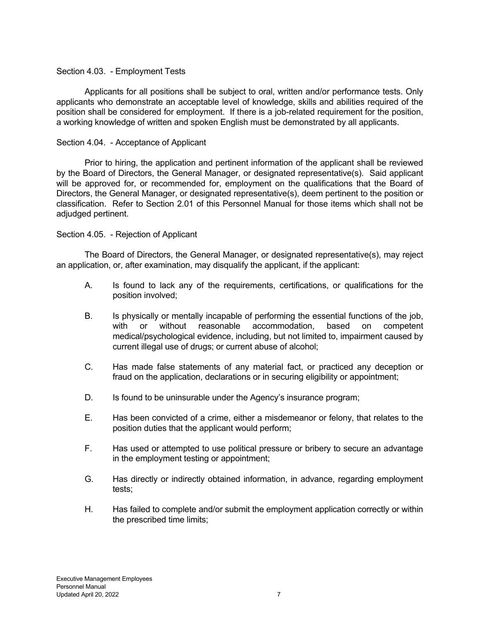## Section 4.03. - Employment Tests

 Applicants for all positions shall be subject to oral, written and/or performance tests. Only applicants who demonstrate an acceptable level of knowledge, skills and abilities required of the position shall be considered for employment. If there is a job-related requirement for the position, a working knowledge of written and spoken English must be demonstrated by all applicants.

## Section 4.04. - Acceptance of Applicant

 Prior to hiring, the application and pertinent information of the applicant shall be reviewed by the Board of Directors, the General Manager, or designated representative(s). Said applicant will be approved for, or recommended for, employment on the qualifications that the Board of Directors, the General Manager, or designated representative(s), deem pertinent to the position or classification. Refer to Section 2.01 of this Personnel Manual for those items which shall not be adjudged pertinent.

## Section 4.05. - Rejection of Applicant

 The Board of Directors, the General Manager, or designated representative(s), may reject an application, or, after examination, may disqualify the applicant, if the applicant:

- A. Is found to lack any of the requirements, certifications, or qualifications for the position involved;
- B. Is physically or mentally incapable of performing the essential functions of the job, with or without reasonable accommodation, based on competent medical/psychological evidence, including, but not limited to, impairment caused by current illegal use of drugs; or current abuse of alcohol;
- C. Has made false statements of any material fact, or practiced any deception or fraud on the application, declarations or in securing eligibility or appointment;
- D. Is found to be uninsurable under the Agency's insurance program;
- E. Has been convicted of a crime, either a misdemeanor or felony, that relates to the position duties that the applicant would perform;
- F. Has used or attempted to use political pressure or bribery to secure an advantage in the employment testing or appointment;
- G. Has directly or indirectly obtained information, in advance, regarding employment tests;
- H. Has failed to complete and/or submit the employment application correctly or within the prescribed time limits;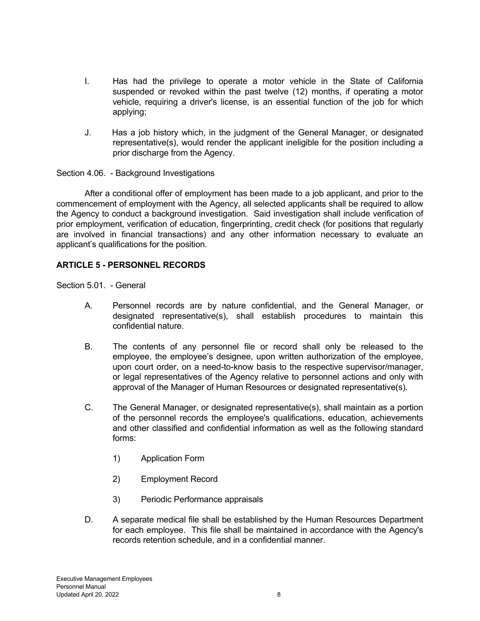- I. Has had the privilege to operate a motor vehicle in the State of California suspended or revoked within the past twelve (12) months, if operating a motor vehicle, requiring a driver's license, is an essential function of the job for which applying;
- J. Has a job history which, in the judgment of the General Manager, or designated representative(s), would render the applicant ineligible for the position including a prior discharge from the Agency.

Section 4.06. - Background Investigations

 After a conditional offer of employment has been made to a job applicant, and prior to the commencement of employment with the Agency, all selected applicants shall be required to allow the Agency to conduct a background investigation. Said investigation shall include verification of prior employment, verification of education, fingerprinting, credit check (for positions that regularly are involved in financial transactions) and any other information necessary to evaluate an applicant's qualifications for the position.

# **ARTICLE 5 - PERSONNEL RECORDS**

Section 5.01. - General

- A. Personnel records are by nature confidential, and the General Manager, or designated representative(s), shall establish procedures to maintain this confidential nature.
- B. The contents of any personnel file or record shall only be released to the employee, the employee's designee, upon written authorization of the employee, upon court order, on a need-to-know basis to the respective supervisor/manager, or legal representatives of the Agency relative to personnel actions and only with approval of the Manager of Human Resources or designated representative(s).
- C. The General Manager, or designated representative(s), shall maintain as a portion of the personnel records the employee's qualifications, education, achievements and other classified and confidential information as well as the following standard forms:
	- 1) Application Form
	- 2) Employment Record
	- 3) Periodic Performance appraisals
- D. A separate medical file shall be established by the Human Resources Department for each employee. This file shall be maintained in accordance with the Agency's records retention schedule, and in a confidential manner.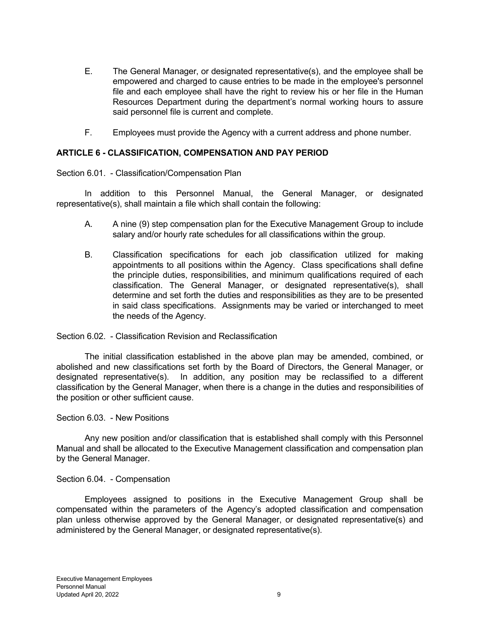- E. The General Manager, or designated representative(s), and the employee shall be empowered and charged to cause entries to be made in the employee's personnel file and each employee shall have the right to review his or her file in the Human Resources Department during the department's normal working hours to assure said personnel file is current and complete.
- F. Employees must provide the Agency with a current address and phone number.

## **ARTICLE 6 - CLASSIFICATION, COMPENSATION AND PAY PERIOD**

Section 6.01. - Classification/Compensation Plan

 In addition to this Personnel Manual, the General Manager, or designated representative(s), shall maintain a file which shall contain the following:

- A. A nine (9) step compensation plan for the Executive Management Group to include salary and/or hourly rate schedules for all classifications within the group.
- B. Classification specifications for each job classification utilized for making appointments to all positions within the Agency. Class specifications shall define the principle duties, responsibilities, and minimum qualifications required of each classification. The General Manager, or designated representative(s), shall determine and set forth the duties and responsibilities as they are to be presented in said class specifications. Assignments may be varied or interchanged to meet the needs of the Agency.

#### Section 6.02. - Classification Revision and Reclassification

 The initial classification established in the above plan may be amended, combined, or abolished and new classifications set forth by the Board of Directors, the General Manager, or designated representative(s). In addition, any position may be reclassified to a different classification by the General Manager, when there is a change in the duties and responsibilities of the position or other sufficient cause.

#### Section 6.03. - New Positions

 Any new position and/or classification that is established shall comply with this Personnel Manual and shall be allocated to the Executive Management classification and compensation plan by the General Manager.

#### Section 6.04. - Compensation

 Employees assigned to positions in the Executive Management Group shall be compensated within the parameters of the Agency's adopted classification and compensation plan unless otherwise approved by the General Manager, or designated representative(s) and administered by the General Manager, or designated representative(s).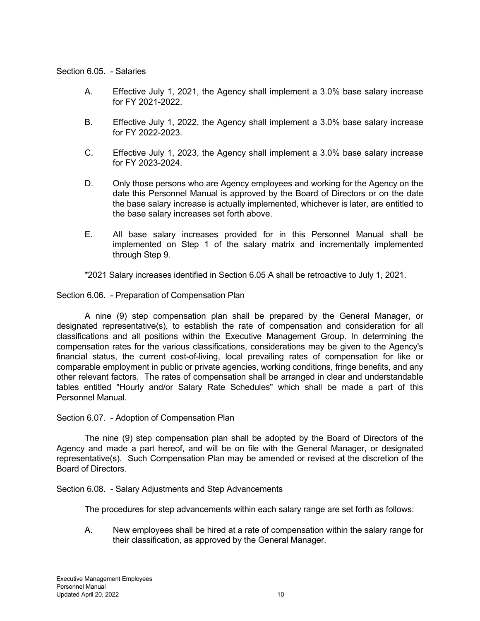## Section 6.05. - Salaries

- A. Effective July 1, 2021, the Agency shall implement a 3.0% base salary increase for FY 2021-2022.
- B. Effective July 1, 2022, the Agency shall implement a 3.0% base salary increase for FY 2022-2023.
- C. Effective July 1, 2023, the Agency shall implement a 3.0% base salary increase for FY 2023-2024.
- D. Only those persons who are Agency employees and working for the Agency on the date this Personnel Manual is approved by the Board of Directors or on the date the base salary increase is actually implemented, whichever is later, are entitled to the base salary increases set forth above.
- E. All base salary increases provided for in this Personnel Manual shall be implemented on Step 1 of the salary matrix and incrementally implemented through Step 9.

\*2021 Salary increases identified in Section 6.05 A shall be retroactive to July 1, 2021.

Section 6.06. - Preparation of Compensation Plan

 A nine (9) step compensation plan shall be prepared by the General Manager, or designated representative(s), to establish the rate of compensation and consideration for all classifications and all positions within the Executive Management Group. In determining the compensation rates for the various classifications, considerations may be given to the Agency's financial status, the current cost-of-living, local prevailing rates of compensation for like or comparable employment in public or private agencies, working conditions, fringe benefits, and any other relevant factors. The rates of compensation shall be arranged in clear and understandable tables entitled "Hourly and/or Salary Rate Schedules" which shall be made a part of this Personnel Manual.

Section 6.07. - Adoption of Compensation Plan

 The nine (9) step compensation plan shall be adopted by the Board of Directors of the Agency and made a part hereof, and will be on file with the General Manager, or designated representative(s). Such Compensation Plan may be amended or revised at the discretion of the Board of Directors.

Section 6.08. - Salary Adjustments and Step Advancements

The procedures for step advancements within each salary range are set forth as follows:

A. New employees shall be hired at a rate of compensation within the salary range for their classification, as approved by the General Manager.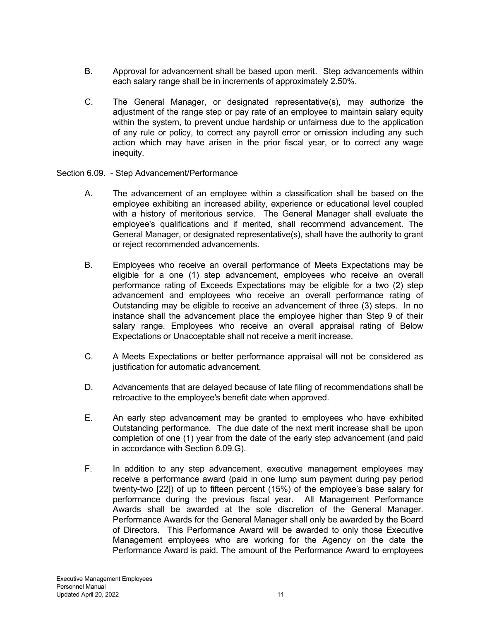- B. Approval for advancement shall be based upon merit. Step advancements within each salary range shall be in increments of approximately 2.50%.
- C. The General Manager, or designated representative(s), may authorize the adjustment of the range step or pay rate of an employee to maintain salary equity within the system, to prevent undue hardship or unfairness due to the application of any rule or policy, to correct any payroll error or omission including any such action which may have arisen in the prior fiscal year, or to correct any wage inequity.
- Section 6.09. Step Advancement/Performance
	- A. The advancement of an employee within a classification shall be based on the employee exhibiting an increased ability, experience or educational level coupled with a history of meritorious service. The General Manager shall evaluate the employee's qualifications and if merited, shall recommend advancement. The General Manager, or designated representative(s), shall have the authority to grant or reject recommended advancements.
	- B. Employees who receive an overall performance of Meets Expectations may be eligible for a one (1) step advancement, employees who receive an overall performance rating of Exceeds Expectations may be eligible for a two (2) step advancement and employees who receive an overall performance rating of Outstanding may be eligible to receive an advancement of three (3) steps. In no instance shall the advancement place the employee higher than Step 9 of their salary range. Employees who receive an overall appraisal rating of Below Expectations or Unacceptable shall not receive a merit increase.
	- C. A Meets Expectations or better performance appraisal will not be considered as justification for automatic advancement.
	- D. Advancements that are delayed because of late filing of recommendations shall be retroactive to the employee's benefit date when approved.
	- E. An early step advancement may be granted to employees who have exhibited Outstanding performance. The due date of the next merit increase shall be upon completion of one (1) year from the date of the early step advancement (and paid in accordance with Section 6.09.G).
	- F. In addition to any step advancement, executive management employees may receive a performance award (paid in one lump sum payment during pay period twenty-two [22]) of up to fifteen percent (15%) of the employee's base salary for performance during the previous fiscal year. All Management Performance Awards shall be awarded at the sole discretion of the General Manager. Performance Awards for the General Manager shall only be awarded by the Board of Directors. This Performance Award will be awarded to only those Executive Management employees who are working for the Agency on the date the Performance Award is paid. The amount of the Performance Award to employees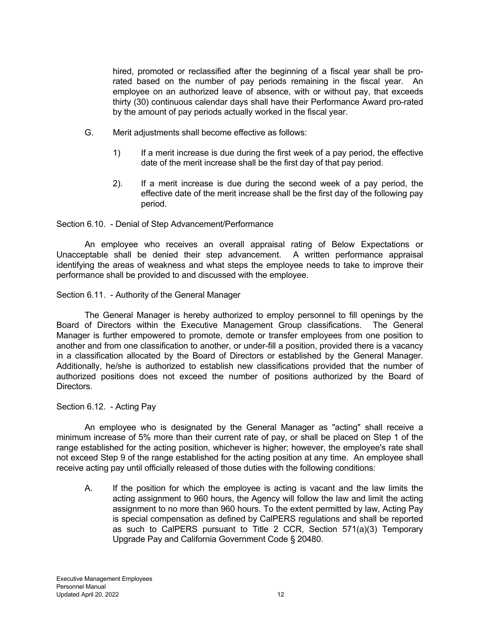hired, promoted or reclassified after the beginning of a fiscal year shall be prorated based on the number of pay periods remaining in the fiscal year. An employee on an authorized leave of absence, with or without pay, that exceeds thirty (30) continuous calendar days shall have their Performance Award pro-rated by the amount of pay periods actually worked in the fiscal year.

- G. Merit adjustments shall become effective as follows:
	- 1) If a merit increase is due during the first week of a pay period, the effective date of the merit increase shall be the first day of that pay period.
	- 2). If a merit increase is due during the second week of a pay period, the effective date of the merit increase shall be the first day of the following pay period.

## Section 6.10. - Denial of Step Advancement/Performance

 An employee who receives an overall appraisal rating of Below Expectations or Unacceptable shall be denied their step advancement. A written performance appraisal identifying the areas of weakness and what steps the employee needs to take to improve their performance shall be provided to and discussed with the employee.

Section 6.11. - Authority of the General Manager

 The General Manager is hereby authorized to employ personnel to fill openings by the Board of Directors within the Executive Management Group classifications. The General Manager is further empowered to promote, demote or transfer employees from one position to another and from one classification to another, or under-fill a position, provided there is a vacancy in a classification allocated by the Board of Directors or established by the General Manager. Additionally, he/she is authorized to establish new classifications provided that the number of authorized positions does not exceed the number of positions authorized by the Board of Directors.

#### Section 6.12. - Acting Pay

 An employee who is designated by the General Manager as "acting" shall receive a minimum increase of 5% more than their current rate of pay, or shall be placed on Step 1 of the range established for the acting position, whichever is higher; however, the employee's rate shall not exceed Step 9 of the range established for the acting position at any time. An employee shall receive acting pay until officially released of those duties with the following conditions:

 A. If the position for which the employee is acting is vacant and the law limits the acting assignment to 960 hours, the Agency will follow the law and limit the acting assignment to no more than 960 hours. To the extent permitted by law, Acting Pay is special compensation as defined by CalPERS regulations and shall be reported as such to CalPERS pursuant to Title 2 CCR, Section 571(a)(3) Temporary Upgrade Pay and California Government Code § 20480.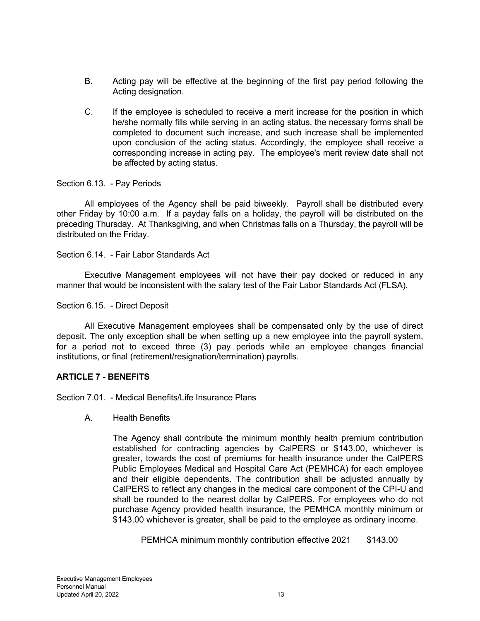- B. Acting pay will be effective at the beginning of the first pay period following the Acting designation.
- C. If the employee is scheduled to receive a merit increase for the position in which he/she normally fills while serving in an acting status, the necessary forms shall be completed to document such increase, and such increase shall be implemented upon conclusion of the acting status. Accordingly, the employee shall receive a corresponding increase in acting pay. The employee's merit review date shall not be affected by acting status.

Section 6.13. - Pay Periods

 All employees of the Agency shall be paid biweekly. Payroll shall be distributed every other Friday by 10:00 a.m. If a payday falls on a holiday, the payroll will be distributed on the preceding Thursday. At Thanksgiving, and when Christmas falls on a Thursday, the payroll will be distributed on the Friday.

Section 6.14. - Fair Labor Standards Act

 Executive Management employees will not have their pay docked or reduced in any manner that would be inconsistent with the salary test of the Fair Labor Standards Act (FLSA).

Section 6.15. - Direct Deposit

 All Executive Management employees shall be compensated only by the use of direct deposit. The only exception shall be when setting up a new employee into the payroll system, for a period not to exceed three (3) pay periods while an employee changes financial institutions, or final (retirement/resignation/termination) payrolls.

# **ARTICLE 7 - BENEFITS**

Section 7.01. - Medical Benefits/Life Insurance Plans

A. Health Benefits

The Agency shall contribute the minimum monthly health premium contribution established for contracting agencies by CalPERS or \$143.00, whichever is greater, towards the cost of premiums for health insurance under the CalPERS Public Employees Medical and Hospital Care Act (PEMHCA) for each employee and their eligible dependents. The contribution shall be adjusted annually by CalPERS to reflect any changes in the medical care component of the CPI-U and shall be rounded to the nearest dollar by CalPERS. For employees who do not purchase Agency provided health insurance, the PEMHCA monthly minimum or \$143.00 whichever is greater, shall be paid to the employee as ordinary income.

PEMHCA minimum monthly contribution effective 2021 \$143.00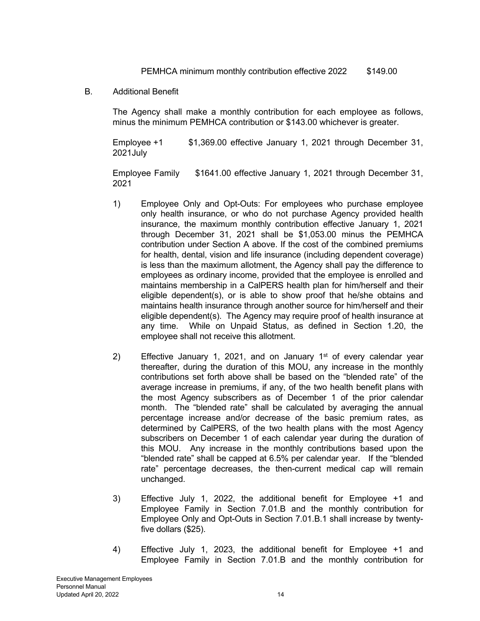PEMHCA minimum monthly contribution effective 2022 \$149.00

B. Additional Benefit

The Agency shall make a monthly contribution for each employee as follows, minus the minimum PEMHCA contribution or \$143.00 whichever is greater.

Employee +1 \$1,369.00 effective January 1, 2021 through December 31, 2021July

Employee Family \$1641.00 effective January 1, 2021 through December 31, 2021

- 1) Employee Only and Opt-Outs: For employees who purchase employee only health insurance, or who do not purchase Agency provided health insurance, the maximum monthly contribution effective January 1, 2021 through December 31, 2021 shall be \$1,053.00 minus the PEMHCA contribution under Section A above. If the cost of the combined premiums for health, dental, vision and life insurance (including dependent coverage) is less than the maximum allotment, the Agency shall pay the difference to employees as ordinary income, provided that the employee is enrolled and maintains membership in a CalPERS health plan for him/herself and their eligible dependent(s), or is able to show proof that he/she obtains and maintains health insurance through another source for him/herself and their eligible dependent(s). The Agency may require proof of health insurance at any time. While on Unpaid Status, as defined in Section 1.20, the employee shall not receive this allotment.
- 2) Effective January 1, 2021, and on January  $1<sup>st</sup>$  of every calendar year thereafter, during the duration of this MOU, any increase in the monthly contributions set forth above shall be based on the "blended rate" of the average increase in premiums, if any, of the two health benefit plans with the most Agency subscribers as of December 1 of the prior calendar month. The "blended rate" shall be calculated by averaging the annual percentage increase and/or decrease of the basic premium rates, as determined by CalPERS, of the two health plans with the most Agency subscribers on December 1 of each calendar year during the duration of this MOU. Any increase in the monthly contributions based upon the "blended rate" shall be capped at 6.5% per calendar year. If the "blended rate" percentage decreases, the then-current medical cap will remain unchanged.
- 3) Effective July 1, 2022, the additional benefit for Employee +1 and Employee Family in Section 7.01.B and the monthly contribution for Employee Only and Opt-Outs in Section 7.01.B.1 shall increase by twentyfive dollars (\$25).
- 4) Effective July 1, 2023, the additional benefit for Employee +1 and Employee Family in Section 7.01.B and the monthly contribution for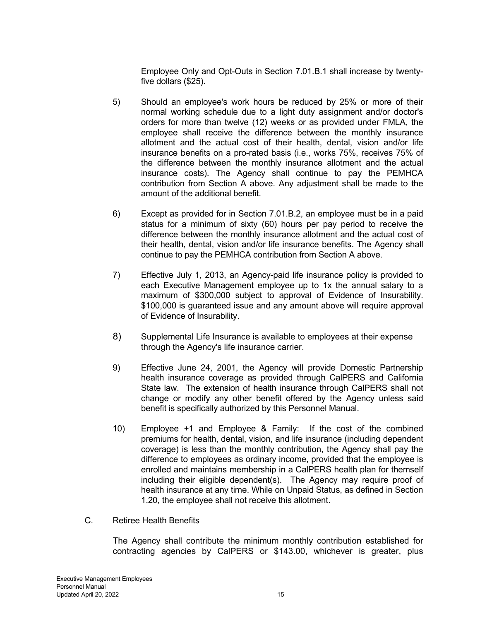Employee Only and Opt-Outs in Section 7.01.B.1 shall increase by twentyfive dollars (\$25).

- 5) Should an employee's work hours be reduced by 25% or more of their normal working schedule due to a light duty assignment and/or doctor's orders for more than twelve (12) weeks or as provided under FMLA, the employee shall receive the difference between the monthly insurance allotment and the actual cost of their health, dental, vision and/or life insurance benefits on a pro-rated basis (i.e., works 75%, receives 75% of the difference between the monthly insurance allotment and the actual insurance costs). The Agency shall continue to pay the PEMHCA contribution from Section A above. Any adjustment shall be made to the amount of the additional benefit.
- 6) Except as provided for in Section 7.01.B.2, an employee must be in a paid status for a minimum of sixty (60) hours per pay period to receive the difference between the monthly insurance allotment and the actual cost of their health, dental, vision and/or life insurance benefits. The Agency shall continue to pay the PEMHCA contribution from Section A above.
- 7) Effective July 1, 2013, an Agency-paid life insurance policy is provided to each Executive Management employee up to 1x the annual salary to a maximum of \$300,000 subject to approval of Evidence of Insurability. \$100,000 is guaranteed issue and any amount above will require approval of Evidence of Insurability.
- 8) Supplemental Life Insurance is available to employees at their expense through the Agency's life insurance carrier.
- 9) Effective June 24, 2001, the Agency will provide Domestic Partnership health insurance coverage as provided through CalPERS and California State law. The extension of health insurance through CalPERS shall not change or modify any other benefit offered by the Agency unless said benefit is specifically authorized by this Personnel Manual.
- 10) Employee +1 and Employee & Family: If the cost of the combined premiums for health, dental, vision, and life insurance (including dependent coverage) is less than the monthly contribution, the Agency shall pay the difference to employees as ordinary income, provided that the employee is enrolled and maintains membership in a CalPERS health plan for themself including their eligible dependent(s). The Agency may require proof of health insurance at any time. While on Unpaid Status, as defined in Section 1.20, the employee shall not receive this allotment.
- C. Retiree Health Benefits

The Agency shall contribute the minimum monthly contribution established for contracting agencies by CalPERS or \$143.00, whichever is greater, plus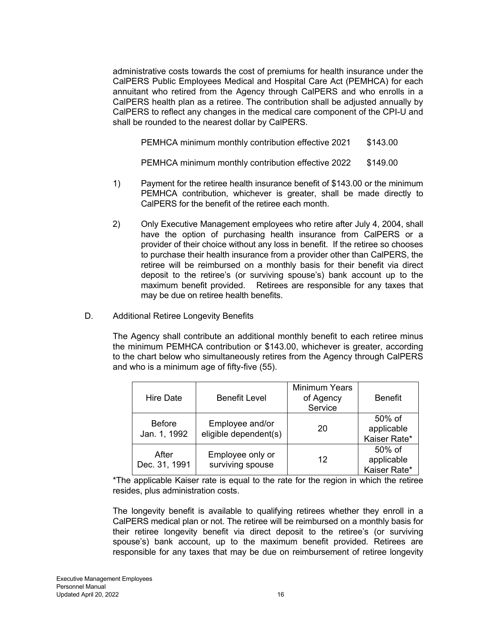administrative costs towards the cost of premiums for health insurance under the CalPERS Public Employees Medical and Hospital Care Act (PEMHCA) for each annuitant who retired from the Agency through CalPERS and who enrolls in a CalPERS health plan as a retiree. The contribution shall be adjusted annually by CalPERS to reflect any changes in the medical care component of the CPI-U and shall be rounded to the nearest dollar by CalPERS.

PEMHCA minimum monthly contribution effective 2021 \$143.00

PEMHCA minimum monthly contribution effective 2022 \$149.00

- 1) Payment for the retiree health insurance benefit of \$143.00 or the minimum PEMHCA contribution, whichever is greater, shall be made directly to CalPERS for the benefit of the retiree each month.
- 2) Only Executive Management employees who retire after July 4, 2004, shall have the option of purchasing health insurance from CalPERS or a provider of their choice without any loss in benefit. If the retiree so chooses to purchase their health insurance from a provider other than CalPERS, the retiree will be reimbursed on a monthly basis for their benefit via direct deposit to the retiree's (or surviving spouse's) bank account up to the maximum benefit provided. Retirees are responsible for any taxes that may be due on retiree health benefits.
- D. Additional Retiree Longevity Benefits

The Agency shall contribute an additional monthly benefit to each retiree minus the minimum PEMHCA contribution or \$143.00, whichever is greater, according to the chart below who simultaneously retires from the Agency through CalPERS and who is a minimum age of fifty-five (55).

| <b>Hire Date</b>              | <b>Benefit Level</b>                     | <b>Minimum Years</b><br>of Agency<br>Service | <b>Benefit</b>                       |
|-------------------------------|------------------------------------------|----------------------------------------------|--------------------------------------|
| <b>Before</b><br>Jan. 1, 1992 | Employee and/or<br>eligible dependent(s) | 20                                           | 50% of<br>applicable<br>Kaiser Rate* |
| After<br>Dec. 31, 1991        | Employee only or<br>surviving spouse     | 12                                           | 50% of<br>applicable<br>Kaiser Rate* |

\*The applicable Kaiser rate is equal to the rate for the region in which the retiree resides, plus administration costs.

The longevity benefit is available to qualifying retirees whether they enroll in a CalPERS medical plan or not. The retiree will be reimbursed on a monthly basis for their retiree longevity benefit via direct deposit to the retiree's (or surviving spouse's) bank account, up to the maximum benefit provided. Retirees are responsible for any taxes that may be due on reimbursement of retiree longevity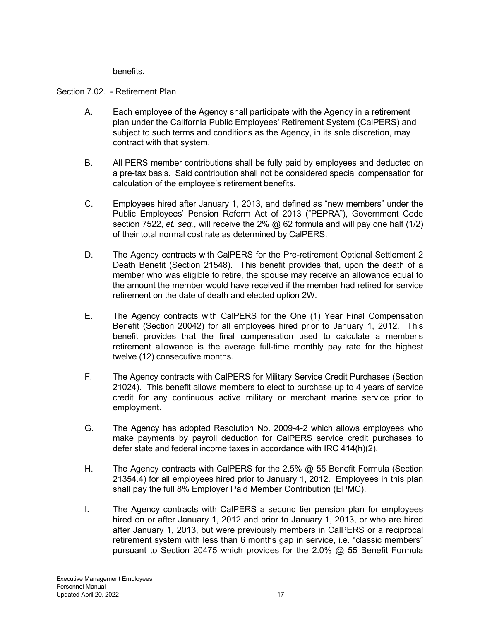benefits.

# Section 7.02. - Retirement Plan

- A. Each employee of the Agency shall participate with the Agency in a retirement plan under the California Public Employees' Retirement System (CalPERS) and subject to such terms and conditions as the Agency, in its sole discretion, may contract with that system.
- B. All PERS member contributions shall be fully paid by employees and deducted on a pre-tax basis. Said contribution shall not be considered special compensation for calculation of the employee's retirement benefits.
- C. Employees hired after January 1, 2013, and defined as "new members" under the Public Employees' Pension Reform Act of 2013 ("PEPRA"), Government Code section 7522, *et. seq.*, will receive the 2% @ 62 formula and will pay one half (1/2) of their total normal cost rate as determined by CalPERS.
- D. The Agency contracts with CalPERS for the Pre-retirement Optional Settlement 2 Death Benefit (Section 21548). This benefit provides that, upon the death of a member who was eligible to retire, the spouse may receive an allowance equal to the amount the member would have received if the member had retired for service retirement on the date of death and elected option 2W.
- E. The Agency contracts with CalPERS for the One (1) Year Final Compensation Benefit (Section 20042) for all employees hired prior to January 1, 2012. This benefit provides that the final compensation used to calculate a member's retirement allowance is the average full-time monthly pay rate for the highest twelve (12) consecutive months.
- F. The Agency contracts with CalPERS for Military Service Credit Purchases (Section 21024). This benefit allows members to elect to purchase up to 4 years of service credit for any continuous active military or merchant marine service prior to employment.
- G. The Agency has adopted Resolution No. 2009-4-2 which allows employees who make payments by payroll deduction for CalPERS service credit purchases to defer state and federal income taxes in accordance with IRC 414(h)(2).
- H. The Agency contracts with CalPERS for the 2.5% @ 55 Benefit Formula (Section 21354.4) for all employees hired prior to January 1, 2012. Employees in this plan shall pay the full 8% Employer Paid Member Contribution (EPMC).
- I. The Agency contracts with CalPERS a second tier pension plan for employees hired on or after January 1, 2012 and prior to January 1, 2013, or who are hired after January 1, 2013, but were previously members in CalPERS or a reciprocal retirement system with less than 6 months gap in service, i.e. "classic members" pursuant to Section 20475 which provides for the 2.0% @ 55 Benefit Formula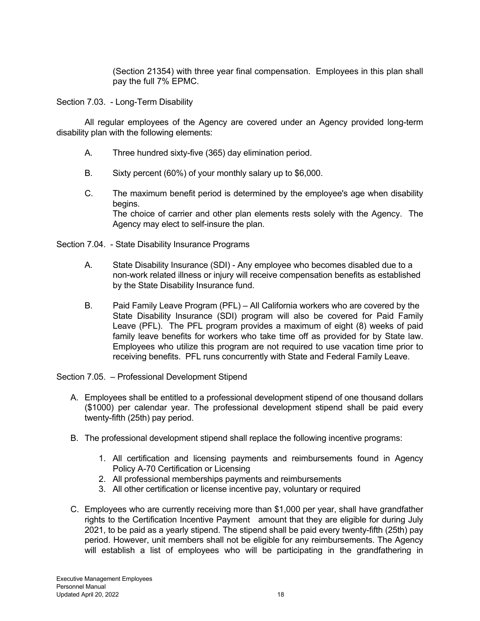(Section 21354) with three year final compensation. Employees in this plan shall pay the full 7% EPMC.

Section 7.03. - Long-Term Disability

 All regular employees of the Agency are covered under an Agency provided long-term disability plan with the following elements:

- A. Three hundred sixty-five (365) day elimination period.
- B. Sixty percent (60%) of your monthly salary up to \$6,000.
- C. The maximum benefit period is determined by the employee's age when disability begins. The choice of carrier and other plan elements rests solely with the Agency. The Agency may elect to self-insure the plan.
- Section 7.04. State Disability Insurance Programs
	- A. State Disability Insurance (SDI) Any employee who becomes disabled due to a non-work related illness or injury will receive compensation benefits as established by the State Disability Insurance fund.
	- B. Paid Family Leave Program (PFL) All California workers who are covered by the State Disability Insurance (SDI) program will also be covered for Paid Family Leave (PFL). The PFL program provides a maximum of eight (8) weeks of paid family leave benefits for workers who take time off as provided for by State law. Employees who utilize this program are not required to use vacation time prior to receiving benefits. PFL runs concurrently with State and Federal Family Leave.

Section 7.05. – Professional Development Stipend

- A. Employees shall be entitled to a professional development stipend of one thousand dollars (\$1000) per calendar year. The professional development stipend shall be paid every twenty-fifth (25th) pay period.
- B. The professional development stipend shall replace the following incentive programs:
	- 1. All certification and licensing payments and reimbursements found in Agency Policy A-70 Certification or Licensing
	- 2. All professional memberships payments and reimbursements
	- 3. All other certification or license incentive pay, voluntary or required
- C. Employees who are currently receiving more than \$1,000 per year, shall have grandfather rights to the Certification Incentive Payment amount that they are eligible for during July 2021, to be paid as a yearly stipend. The stipend shall be paid every twenty-fifth (25th) pay period. However, unit members shall not be eligible for any reimbursements. The Agency will establish a list of employees who will be participating in the grandfathering in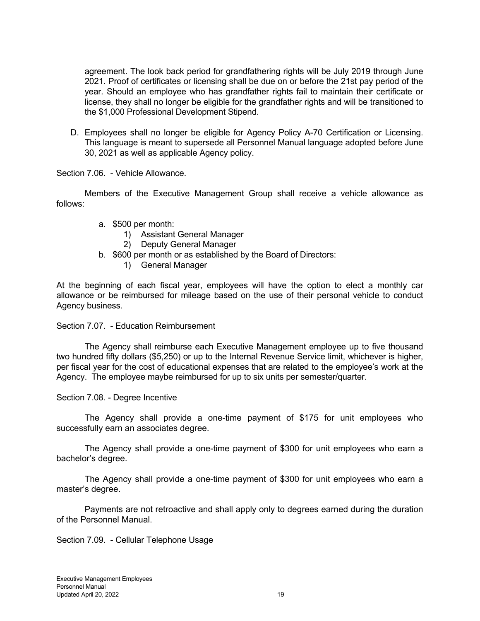agreement. The look back period for grandfathering rights will be July 2019 through June 2021. Proof of certificates or licensing shall be due on or before the 21st pay period of the year. Should an employee who has grandfather rights fail to maintain their certificate or license, they shall no longer be eligible for the grandfather rights and will be transitioned to the \$1,000 Professional Development Stipend.

D. Employees shall no longer be eligible for Agency Policy A-70 Certification or Licensing. This language is meant to supersede all Personnel Manual language adopted before June 30, 2021 as well as applicable Agency policy.

Section 7.06. - Vehicle Allowance.

 Members of the Executive Management Group shall receive a vehicle allowance as follows:

- a. \$500 per month:
	- 1) Assistant General Manager
	- 2) Deputy General Manager
- b. \$600 per month or as established by the Board of Directors:
	- 1) General Manager

At the beginning of each fiscal year, employees will have the option to elect a monthly car allowance or be reimbursed for mileage based on the use of their personal vehicle to conduct Agency business.

Section 7.07. - Education Reimbursement

 The Agency shall reimburse each Executive Management employee up to five thousand two hundred fifty dollars (\$5,250) or up to the Internal Revenue Service limit, whichever is higher, per fiscal year for the cost of educational expenses that are related to the employee's work at the Agency. The employee maybe reimbursed for up to six units per semester/quarter.

Section 7.08. - Degree Incentive

The Agency shall provide a one-time payment of \$175 for unit employees who successfully earn an associates degree.

The Agency shall provide a one-time payment of \$300 for unit employees who earn a bachelor's degree.

The Agency shall provide a one-time payment of \$300 for unit employees who earn a master's degree.

Payments are not retroactive and shall apply only to degrees earned during the duration of the Personnel Manual.

Section 7.09. - Cellular Telephone Usage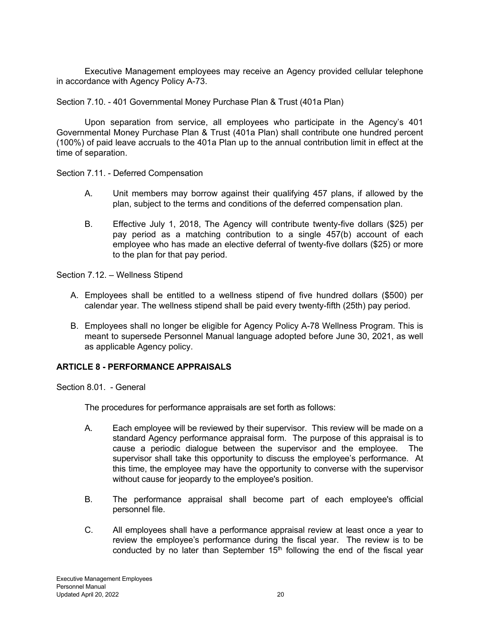Executive Management employees may receive an Agency provided cellular telephone in accordance with Agency Policy A-73.

Section 7.10. - 401 Governmental Money Purchase Plan & Trust (401a Plan)

Upon separation from service, all employees who participate in the Agency's 401 Governmental Money Purchase Plan & Trust (401a Plan) shall contribute one hundred percent (100%) of paid leave accruals to the 401a Plan up to the annual contribution limit in effect at the time of separation.

Section 7.11. - Deferred Compensation

- A. Unit members may borrow against their qualifying 457 plans, if allowed by the plan, subject to the terms and conditions of the deferred compensation plan.
- B. Effective July 1, 2018, The Agency will contribute twenty-five dollars (\$25) per pay period as a matching contribution to a single 457(b) account of each employee who has made an elective deferral of twenty-five dollars (\$25) or more to the plan for that pay period.

Section 7.12. – Wellness Stipend

- A. Employees shall be entitled to a wellness stipend of five hundred dollars (\$500) per calendar year. The wellness stipend shall be paid every twenty-fifth (25th) pay period.
- B. Employees shall no longer be eligible for Agency Policy A-78 Wellness Program. This is meant to supersede Personnel Manual language adopted before June 30, 2021, as well as applicable Agency policy.

# **ARTICLE 8 - PERFORMANCE APPRAISALS**

Section 8.01. - General

The procedures for performance appraisals are set forth as follows:

- A. Each employee will be reviewed by their supervisor. This review will be made on a standard Agency performance appraisal form. The purpose of this appraisal is to cause a periodic dialogue between the supervisor and the employee. The supervisor shall take this opportunity to discuss the employee's performance. At this time, the employee may have the opportunity to converse with the supervisor without cause for jeopardy to the employee's position.
- B. The performance appraisal shall become part of each employee's official personnel file.
- C. All employees shall have a performance appraisal review at least once a year to review the employee's performance during the fiscal year. The review is to be conducted by no later than September  $15<sup>th</sup>$  following the end of the fiscal year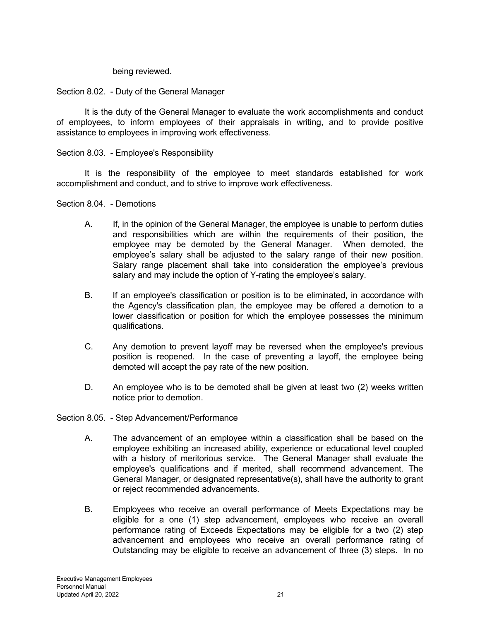being reviewed.

Section 8.02. - Duty of the General Manager

 It is the duty of the General Manager to evaluate the work accomplishments and conduct of employees, to inform employees of their appraisals in writing, and to provide positive assistance to employees in improving work effectiveness.

Section 8.03. - Employee's Responsibility

 It is the responsibility of the employee to meet standards established for work accomplishment and conduct, and to strive to improve work effectiveness.

Section 8.04. - Demotions

- A. If, in the opinion of the General Manager, the employee is unable to perform duties and responsibilities which are within the requirements of their position, the employee may be demoted by the General Manager. When demoted, the employee's salary shall be adjusted to the salary range of their new position. Salary range placement shall take into consideration the employee's previous salary and may include the option of Y-rating the employee's salary.
- B. If an employee's classification or position is to be eliminated, in accordance with the Agency's classification plan, the employee may be offered a demotion to a lower classification or position for which the employee possesses the minimum qualifications.
- C. Any demotion to prevent layoff may be reversed when the employee's previous position is reopened. In the case of preventing a layoff, the employee being demoted will accept the pay rate of the new position.
- D. An employee who is to be demoted shall be given at least two (2) weeks written notice prior to demotion.

Section 8.05. - Step Advancement/Performance

- A. The advancement of an employee within a classification shall be based on the employee exhibiting an increased ability, experience or educational level coupled with a history of meritorious service. The General Manager shall evaluate the employee's qualifications and if merited, shall recommend advancement. The General Manager, or designated representative(s), shall have the authority to grant or reject recommended advancements.
- B. Employees who receive an overall performance of Meets Expectations may be eligible for a one (1) step advancement, employees who receive an overall performance rating of Exceeds Expectations may be eligible for a two (2) step advancement and employees who receive an overall performance rating of Outstanding may be eligible to receive an advancement of three (3) steps. In no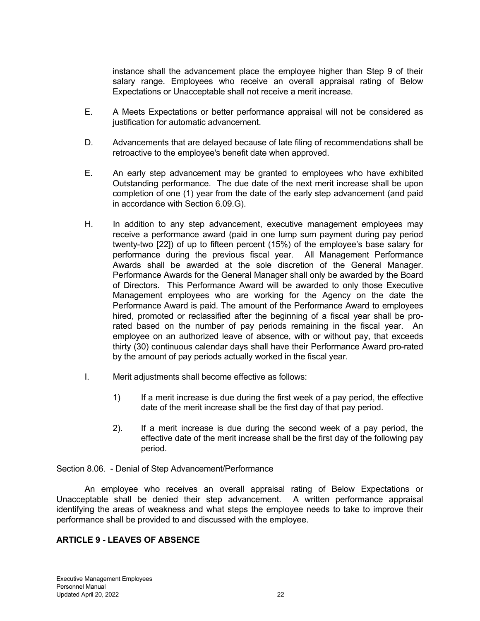instance shall the advancement place the employee higher than Step 9 of their salary range. Employees who receive an overall appraisal rating of Below Expectations or Unacceptable shall not receive a merit increase.

- E. A Meets Expectations or better performance appraisal will not be considered as justification for automatic advancement.
- D. Advancements that are delayed because of late filing of recommendations shall be retroactive to the employee's benefit date when approved.
- E. An early step advancement may be granted to employees who have exhibited Outstanding performance. The due date of the next merit increase shall be upon completion of one (1) year from the date of the early step advancement (and paid in accordance with Section 6.09.G).
- H. In addition to any step advancement, executive management employees may receive a performance award (paid in one lump sum payment during pay period twenty-two [22]) of up to fifteen percent (15%) of the employee's base salary for performance during the previous fiscal year. All Management Performance Awards shall be awarded at the sole discretion of the General Manager. Performance Awards for the General Manager shall only be awarded by the Board of Directors. This Performance Award will be awarded to only those Executive Management employees who are working for the Agency on the date the Performance Award is paid. The amount of the Performance Award to employees hired, promoted or reclassified after the beginning of a fiscal year shall be prorated based on the number of pay periods remaining in the fiscal year. An employee on an authorized leave of absence, with or without pay, that exceeds thirty (30) continuous calendar days shall have their Performance Award pro-rated by the amount of pay periods actually worked in the fiscal year.
- I. Merit adjustments shall become effective as follows:
	- 1) If a merit increase is due during the first week of a pay period, the effective date of the merit increase shall be the first day of that pay period.
	- 2). If a merit increase is due during the second week of a pay period, the effective date of the merit increase shall be the first day of the following pay period.

Section 8.06. - Denial of Step Advancement/Performance

 An employee who receives an overall appraisal rating of Below Expectations or Unacceptable shall be denied their step advancement. A written performance appraisal identifying the areas of weakness and what steps the employee needs to take to improve their performance shall be provided to and discussed with the employee.

# **ARTICLE 9 - LEAVES OF ABSENCE**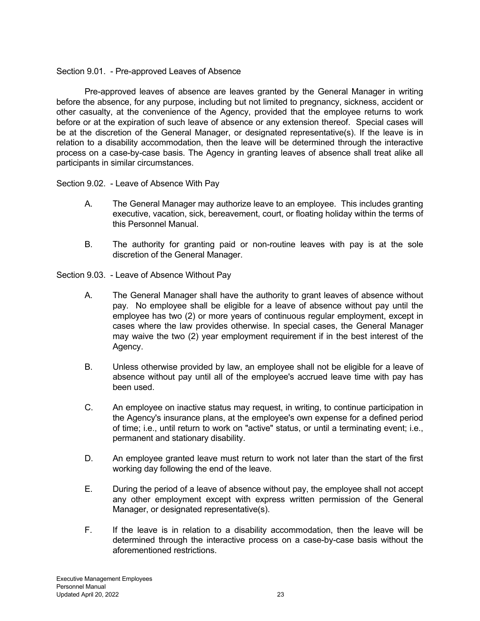# Section 9.01. - Pre-approved Leaves of Absence

 Pre-approved leaves of absence are leaves granted by the General Manager in writing before the absence, for any purpose, including but not limited to pregnancy, sickness, accident or other casualty, at the convenience of the Agency, provided that the employee returns to work before or at the expiration of such leave of absence or any extension thereof. Special cases will be at the discretion of the General Manager, or designated representative(s). If the leave is in relation to a disability accommodation, then the leave will be determined through the interactive process on a case-by-case basis. The Agency in granting leaves of absence shall treat alike all participants in similar circumstances.

Section 9.02. - Leave of Absence With Pay

- A. The General Manager may authorize leave to an employee. This includes granting executive, vacation, sick, bereavement, court, or floating holiday within the terms of this Personnel Manual.
- B. The authority for granting paid or non-routine leaves with pay is at the sole discretion of the General Manager.

Section 9.03. - Leave of Absence Without Pay

- A. The General Manager shall have the authority to grant leaves of absence without pay. No employee shall be eligible for a leave of absence without pay until the employee has two (2) or more years of continuous regular employment, except in cases where the law provides otherwise. In special cases, the General Manager may waive the two (2) year employment requirement if in the best interest of the Agency.
- B. Unless otherwise provided by law, an employee shall not be eligible for a leave of absence without pay until all of the employee's accrued leave time with pay has been used.
- C. An employee on inactive status may request, in writing, to continue participation in the Agency's insurance plans, at the employee's own expense for a defined period of time; i.e., until return to work on "active" status, or until a terminating event; i.e., permanent and stationary disability.
- D. An employee granted leave must return to work not later than the start of the first working day following the end of the leave.
- E. During the period of a leave of absence without pay, the employee shall not accept any other employment except with express written permission of the General Manager, or designated representative(s).
- F. If the leave is in relation to a disability accommodation, then the leave will be determined through the interactive process on a case-by-case basis without the aforementioned restrictions.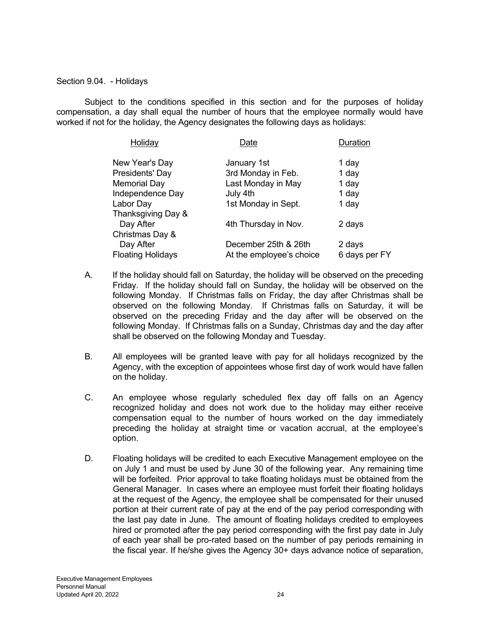Section 9.04. - Holidays

 Subject to the conditions specified in this section and for the purposes of holiday compensation, a day shall equal the number of hours that the employee normally would have worked if not for the holiday, the Agency designates the following days as holidays:

| Holiday                  | Date                     | Duration      |
|--------------------------|--------------------------|---------------|
| New Year's Day           | January 1st              | 1 day         |
| Presidents' Day          | 3rd Monday in Feb.       | 1 day         |
| <b>Memorial Day</b>      | Last Monday in May       | 1 day         |
| Independence Day         | July 4th                 | 1 day         |
| Labor Day                | 1st Monday in Sept.      | 1 day         |
| Thanksgiving Day &       |                          |               |
| Day After                | 4th Thursday in Nov.     | 2 days        |
| Christmas Day &          |                          |               |
| Day After                | December 25th & 26th     | 2 days        |
| <b>Floating Holidays</b> | At the employee's choice | 6 days per FY |
|                          |                          |               |

- A. If the holiday should fall on Saturday, the holiday will be observed on the preceding Friday. If the holiday should fall on Sunday, the holiday will be observed on the following Monday. If Christmas falls on Friday, the day after Christmas shall be observed on the following Monday. If Christmas falls on Saturday, it will be observed on the preceding Friday and the day after will be observed on the following Monday. If Christmas falls on a Sunday, Christmas day and the day after shall be observed on the following Monday and Tuesday.
- B. All employees will be granted leave with pay for all holidays recognized by the Agency, with the exception of appointees whose first day of work would have fallen on the holiday.
- C. An employee whose regularly scheduled flex day off falls on an Agency recognized holiday and does not work due to the holiday may either receive compensation equal to the number of hours worked on the day immediately preceding the holiday at straight time or vacation accrual, at the employee's option.
- D. Floating holidays will be credited to each Executive Management employee on the on July 1 and must be used by June 30 of the following year. Any remaining time will be forfeited. Prior approval to take floating holidays must be obtained from the General Manager. In cases where an employee must forfeit their floating holidays at the request of the Agency, the employee shall be compensated for their unused portion at their current rate of pay at the end of the pay period corresponding with the last pay date in June. The amount of floating holidays credited to employees hired or promoted after the pay period corresponding with the first pay date in July of each year shall be pro-rated based on the number of pay periods remaining in the fiscal year. If he/she gives the Agency 30+ days advance notice of separation,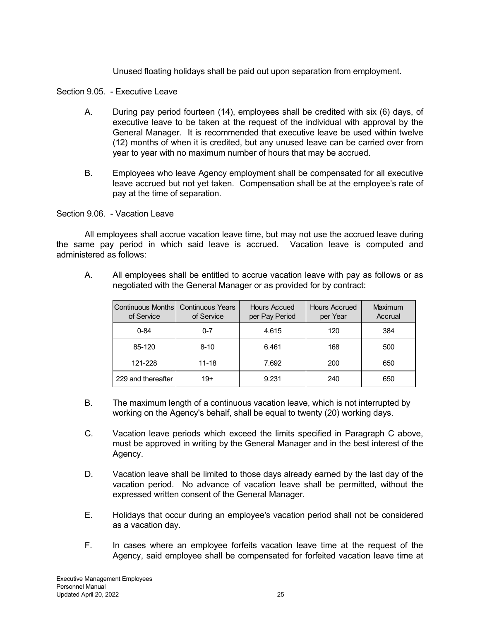Unused floating holidays shall be paid out upon separation from employment.

Section 9.05. - Executive Leave

- A. During pay period fourteen (14), employees shall be credited with six (6) days, of executive leave to be taken at the request of the individual with approval by the General Manager. It is recommended that executive leave be used within twelve (12) months of when it is credited, but any unused leave can be carried over from year to year with no maximum number of hours that may be accrued.
- B. Employees who leave Agency employment shall be compensated for all executive leave accrued but not yet taken. Compensation shall be at the employee's rate of pay at the time of separation.

Section 9.06. - Vacation Leave

 All employees shall accrue vacation leave time, but may not use the accrued leave during the same pay period in which said leave is accrued. Vacation leave is computed and administered as follows:

A. All employees shall be entitled to accrue vacation leave with pay as follows or as negotiated with the General Manager or as provided for by contract:

| Continuous Months<br>of Service | <b>Continuous Years</b><br>of Service | Hours Accued<br>per Pay Period | <b>Hours Accrued</b><br>per Year | Maximum<br>Accrual |
|---------------------------------|---------------------------------------|--------------------------------|----------------------------------|--------------------|
| $0 - 84$                        | $0 - 7$                               | 4.615                          | 120                              | 384                |
| 85-120                          | $8 - 10$                              | 6.461                          | 168                              | 500                |
| 121-228                         | $11 - 18$                             | 7.692                          | 200                              | 650                |
| 229 and thereafter              | 19+                                   | 9.231                          | 240                              | 650                |

- B. The maximum length of a continuous vacation leave, which is not interrupted by working on the Agency's behalf, shall be equal to twenty (20) working days.
- C. Vacation leave periods which exceed the limits specified in Paragraph C above, must be approved in writing by the General Manager and in the best interest of the Agency.
- D. Vacation leave shall be limited to those days already earned by the last day of the vacation period. No advance of vacation leave shall be permitted, without the expressed written consent of the General Manager.
- E. Holidays that occur during an employee's vacation period shall not be considered as a vacation day.
- F. In cases where an employee forfeits vacation leave time at the request of the Agency, said employee shall be compensated for forfeited vacation leave time at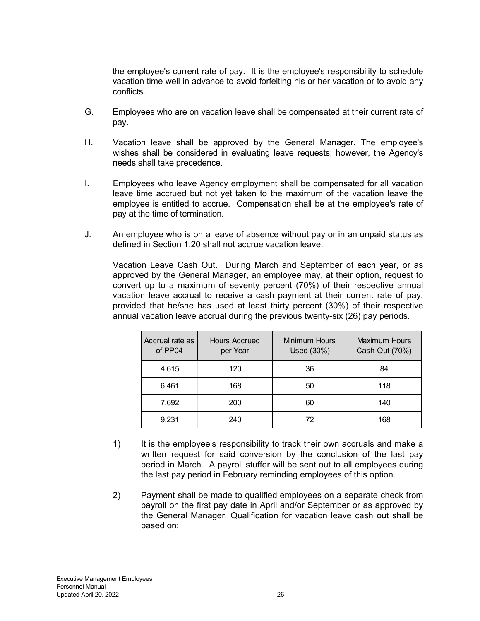the employee's current rate of pay. It is the employee's responsibility to schedule vacation time well in advance to avoid forfeiting his or her vacation or to avoid any conflicts.

- G. Employees who are on vacation leave shall be compensated at their current rate of pay.
- H. Vacation leave shall be approved by the General Manager. The employee's wishes shall be considered in evaluating leave requests; however, the Agency's needs shall take precedence.
- I. Employees who leave Agency employment shall be compensated for all vacation leave time accrued but not yet taken to the maximum of the vacation leave the employee is entitled to accrue. Compensation shall be at the employee's rate of pay at the time of termination.
- J. An employee who is on a leave of absence without pay or in an unpaid status as defined in Section 1.20 shall not accrue vacation leave.

Vacation Leave Cash Out. During March and September of each year, or as approved by the General Manager, an employee may, at their option, request to convert up to a maximum of seventy percent (70%) of their respective annual vacation leave accrual to receive a cash payment at their current rate of pay, provided that he/she has used at least thirty percent (30%) of their respective annual vacation leave accrual during the previous twenty-six (26) pay periods.

| Accrual rate as<br>of PP04 | Hours Accrued<br>per Year | Minimum Hours<br>Used (30%) | Maximum Hours<br>Cash-Out (70%) |
|----------------------------|---------------------------|-----------------------------|---------------------------------|
| 4.615                      | 120                       | 36                          | 84                              |
| 6.461                      | 168                       | 50                          | 118                             |
| 7.692                      | 200                       | 60                          | 140                             |
| 9.231                      | 240                       | 72                          | 168                             |

- 1) It is the employee's responsibility to track their own accruals and make a written request for said conversion by the conclusion of the last pay period in March. A payroll stuffer will be sent out to all employees during the last pay period in February reminding employees of this option.
- 2) Payment shall be made to qualified employees on a separate check from payroll on the first pay date in April and/or September or as approved by the General Manager. Qualification for vacation leave cash out shall be based on: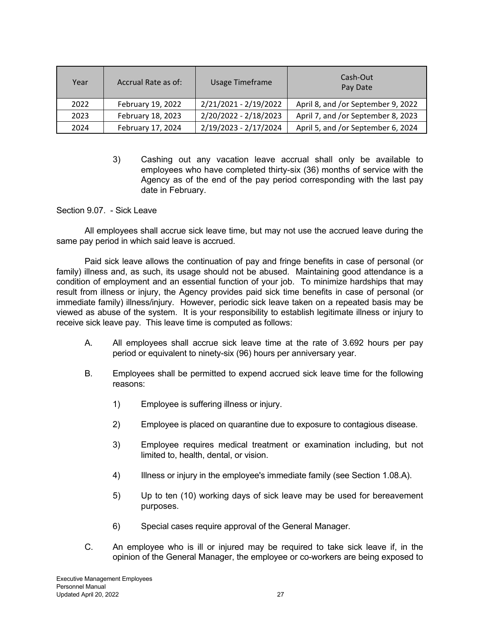| Year | Accrual Rate as of: | Usage Timeframe       | Cash-Out<br>Pay Date               |
|------|---------------------|-----------------------|------------------------------------|
| 2022 | February 19, 2022   | 2/21/2021 - 2/19/2022 | April 8, and /or September 9, 2022 |
| 2023 | February 18, 2023   | 2/20/2022 - 2/18/2023 | April 7, and /or September 8, 2023 |
| 2024 | February 17, 2024   | 2/19/2023 - 2/17/2024 | April 5, and /or September 6, 2024 |

3) Cashing out any vacation leave accrual shall only be available to employees who have completed thirty-six (36) months of service with the Agency as of the end of the pay period corresponding with the last pay date in February.

Section 9.07. - Sick Leave

 All employees shall accrue sick leave time, but may not use the accrued leave during the same pay period in which said leave is accrued.

 Paid sick leave allows the continuation of pay and fringe benefits in case of personal (or family) illness and, as such, its usage should not be abused. Maintaining good attendance is a condition of employment and an essential function of your job. To minimize hardships that may result from illness or injury, the Agency provides paid sick time benefits in case of personal (or immediate family) illness/injury. However, periodic sick leave taken on a repeated basis may be viewed as abuse of the system. It is your responsibility to establish legitimate illness or injury to receive sick leave pay. This leave time is computed as follows:

- A. All employees shall accrue sick leave time at the rate of 3.692 hours per pay period or equivalent to ninety-six (96) hours per anniversary year.
- B. Employees shall be permitted to expend accrued sick leave time for the following reasons:
	- 1) Employee is suffering illness or injury.
	- 2) Employee is placed on quarantine due to exposure to contagious disease.
	- 3) Employee requires medical treatment or examination including, but not limited to, health, dental, or vision.
	- 4) Illness or injury in the employee's immediate family (see Section 1.08.A).
	- 5) Up to ten (10) working days of sick leave may be used for bereavement purposes.
	- 6) Special cases require approval of the General Manager.
- C. An employee who is ill or injured may be required to take sick leave if, in the opinion of the General Manager, the employee or co-workers are being exposed to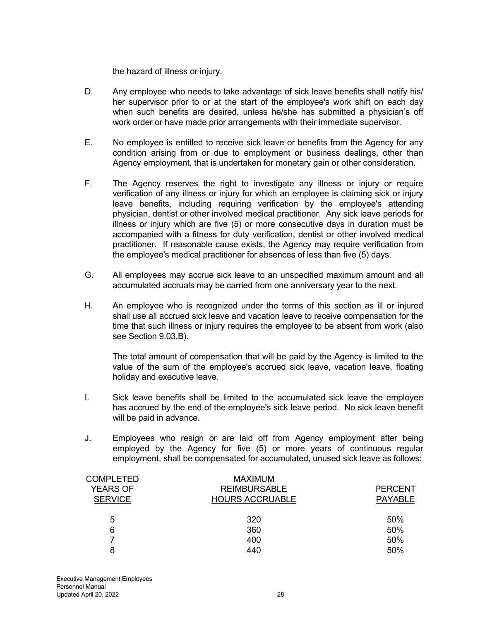the hazard of illness or injury.

- D. Any employee who needs to take advantage of sick leave benefits shall notify his/ her supervisor prior to or at the start of the employee's work shift on each day when such benefits are desired, unless he/she has submitted a physician's off work order or have made prior arrangements with their immediate supervisor.
- E. No employee is entitled to receive sick leave or benefits from the Agency for any condition arising from or due to employment or business dealings, other than Agency employment, that is undertaken for monetary gain or other consideration.
- F. The Agency reserves the right to investigate any illness or injury or require verification of any illness or injury for which an employee is claiming sick or injury leave benefits, including requiring verification by the employee's attending physician, dentist or other involved medical practitioner. Any sick leave periods for illness or injury which are five (5) or more consecutive days in duration must be accompanied with a fitness for duty verification, dentist or other involved medical practitioner. If reasonable cause exists, the Agency may require verification from the employee's medical practitioner for absences of less than five (5) days.
- G. All employees may accrue sick leave to an unspecified maximum amount and all accumulated accruals may be carried from one anniversary year to the next.
- H. An employee who is recognized under the terms of this section as ill or injured shall use all accrued sick leave and vacation leave to receive compensation for the time that such illness or injury requires the employee to be absent from work (also see Section 9.03.B).

 The total amount of compensation that will be paid by the Agency is limited to the value of the sum of the employee's accrued sick leave, vacation leave, floating holiday and executive leave.

- I. Sick leave benefits shall be limited to the accumulated sick leave the employee has accrued by the end of the employee's sick leave period. No sick leave benefit will be paid in advance.
- J. Employees who resign or are laid off from Agency employment after being employed by the Agency for five (5) or more years of continuous regular employment, shall be compensated for accumulated, unused sick leave as follows:

| <b>COMPLETED</b> | <b>MAXIMUM</b>         |                |
|------------------|------------------------|----------------|
| <b>YEARS OF</b>  | <b>REIMBURSABLE</b>    | <b>PERCENT</b> |
| <b>SERVICE</b>   | <b>HOURS ACCRUABLE</b> | <b>PAYABLE</b> |
|                  |                        |                |
| 5                | 320                    | 50%            |
| 6                | 360                    | 50%            |
|                  | 400                    | 50%            |
| 8                | 440                    | 50%            |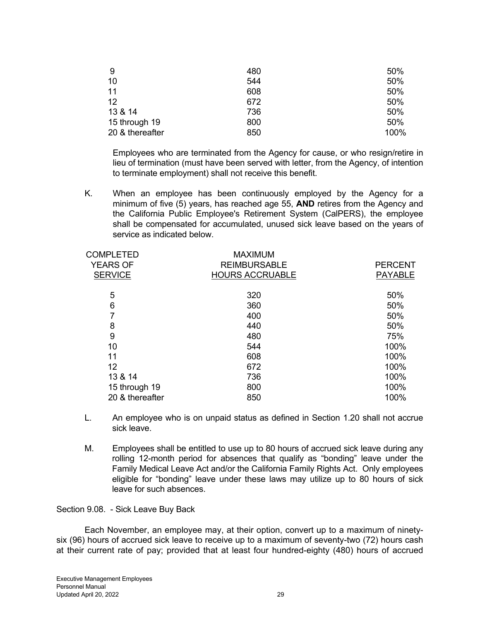| 9               | 480 | 50%  |
|-----------------|-----|------|
| 10              | 544 | 50%  |
| 11              | 608 | 50%  |
| 12              | 672 | 50%  |
| 13 & 14         | 736 | 50%  |
| 15 through 19   | 800 | 50%  |
| 20 & thereafter | 850 | 100% |

Employees who are terminated from the Agency for cause, or who resign/retire in lieu of termination (must have been served with letter, from the Agency, of intention to terminate employment) shall not receive this benefit.

 K. When an employee has been continuously employed by the Agency for a minimum of five (5) years, has reached age 55, **AND** retires from the Agency and the California Public Employee's Retirement System (CalPERS), the employee shall be compensated for accumulated, unused sick leave based on the years of service as indicated below.

| <b>COMPLETED</b><br><b>YEARS OF</b> | <b>MAXIMUM</b><br><b>REIMBURSABLE</b> | <b>PERCENT</b> |
|-------------------------------------|---------------------------------------|----------------|
| <b>SERVICE</b>                      | <b>HOURS ACCRUABLE</b>                | <b>PAYABLE</b> |
| 5                                   | 320                                   | 50%            |
| 6                                   | 360                                   | 50%            |
|                                     | 400                                   | 50%            |
| 8                                   | 440                                   | 50%            |
| 9                                   | 480                                   | 75%            |
| 10                                  | 544                                   | 100%           |
| 11                                  | 608                                   | 100%           |
| 12                                  | 672                                   | 100%           |
| 13 & 14                             | 736                                   | 100%           |
| 15 through 19                       | 800                                   | 100%           |
| 20 & thereafter                     | 850                                   | 100%           |
|                                     |                                       |                |

- L. An employee who is on unpaid status as defined in Section 1.20 shall not accrue sick leave.
- M. Employees shall be entitled to use up to 80 hours of accrued sick leave during any rolling 12-month period for absences that qualify as "bonding" leave under the Family Medical Leave Act and/or the California Family Rights Act. Only employees eligible for "bonding" leave under these laws may utilize up to 80 hours of sick leave for such absences.

#### Section 9.08. - Sick Leave Buy Back

 Each November, an employee may, at their option, convert up to a maximum of ninetysix (96) hours of accrued sick leave to receive up to a maximum of seventy-two (72) hours cash at their current rate of pay; provided that at least four hundred-eighty (480) hours of accrued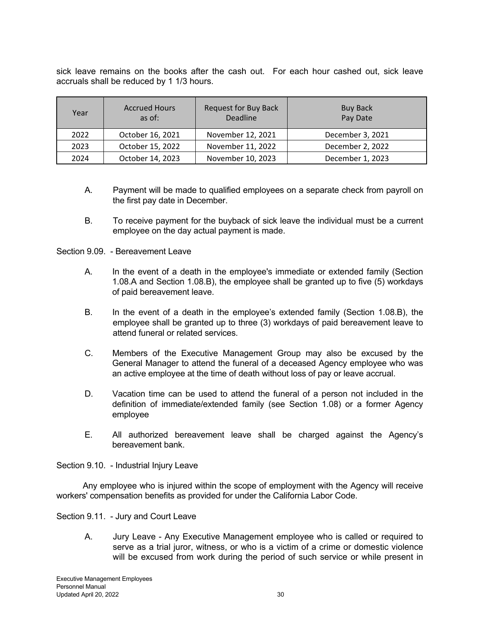sick leave remains on the books after the cash out. For each hour cashed out, sick leave accruals shall be reduced by 1 1/3 hours.

| Year | <b>Accrued Hours</b><br>as of: | <b>Request for Buy Back</b><br><b>Deadline</b> | <b>Buy Back</b><br>Pay Date |
|------|--------------------------------|------------------------------------------------|-----------------------------|
| 2022 | October 16, 2021               | November 12, 2021                              | December 3, 2021            |
| 2023 | October 15, 2022               | November 11, 2022                              | December 2, 2022            |
| 2024 | October 14, 2023               | November 10, 2023                              | December 1, 2023            |

- A. Payment will be made to qualified employees on a separate check from payroll on the first pay date in December.
- B. To receive payment for the buyback of sick leave the individual must be a current employee on the day actual payment is made.

Section 9.09 - Bereavement Leave

- A. In the event of a death in the employee's immediate or extended family (Section 1.08.A and Section 1.08.B), the employee shall be granted up to five (5) workdays of paid bereavement leave.
- B. In the event of a death in the employee's extended family (Section 1.08.B), the employee shall be granted up to three (3) workdays of paid bereavement leave to attend funeral or related services.
- C. Members of the Executive Management Group may also be excused by the General Manager to attend the funeral of a deceased Agency employee who was an active employee at the time of death without loss of pay or leave accrual.
- D. Vacation time can be used to attend the funeral of a person not included in the definition of immediate/extended family (see Section 1.08) or a former Agency employee
- E. All authorized bereavement leave shall be charged against the Agency's bereavement bank.

Section 9.10. - Industrial Injury Leave

 Any employee who is injured within the scope of employment with the Agency will receive workers' compensation benefits as provided for under the California Labor Code.

Section 9.11. - Jury and Court Leave

A. Jury Leave - Any Executive Management employee who is called or required to serve as a trial juror, witness, or who is a victim of a crime or domestic violence will be excused from work during the period of such service or while present in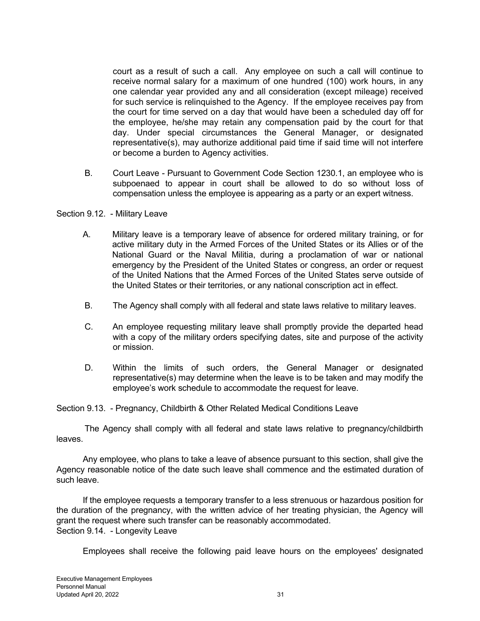court as a result of such a call. Any employee on such a call will continue to receive normal salary for a maximum of one hundred (100) work hours, in any one calendar year provided any and all consideration (except mileage) received for such service is relinquished to the Agency. If the employee receives pay from the court for time served on a day that would have been a scheduled day off for the employee, he/she may retain any compensation paid by the court for that day. Under special circumstances the General Manager, or designated representative(s), may authorize additional paid time if said time will not interfere or become a burden to Agency activities.

 B. Court Leave - Pursuant to Government Code Section 1230.1, an employee who is subpoenaed to appear in court shall be allowed to do so without loss of compensation unless the employee is appearing as a party or an expert witness.

#### Section 9.12. - Military Leave

- A. Military leave is a temporary leave of absence for ordered military training, or for active military duty in the Armed Forces of the United States or its Allies or of the National Guard or the Naval Militia, during a proclamation of war or national emergency by the President of the United States or congress, an order or request of the United Nations that the Armed Forces of the United States serve outside of the United States or their territories, or any national conscription act in effect.
- B. The Agency shall comply with all federal and state laws relative to military leaves.
- C. An employee requesting military leave shall promptly provide the departed head with a copy of the military orders specifying dates, site and purpose of the activity or mission.
- D. Within the limits of such orders, the General Manager or designated representative(s) may determine when the leave is to be taken and may modify the employee's work schedule to accommodate the request for leave.

Section 9.13. - Pregnancy, Childbirth & Other Related Medical Conditions Leave

 The Agency shall comply with all federal and state laws relative to pregnancy/childbirth leaves.

 Any employee, who plans to take a leave of absence pursuant to this section, shall give the Agency reasonable notice of the date such leave shall commence and the estimated duration of such leave.

 If the employee requests a temporary transfer to a less strenuous or hazardous position for the duration of the pregnancy, with the written advice of her treating physician, the Agency will grant the request where such transfer can be reasonably accommodated. Section 9.14. - Longevity Leave

Employees shall receive the following paid leave hours on the employees' designated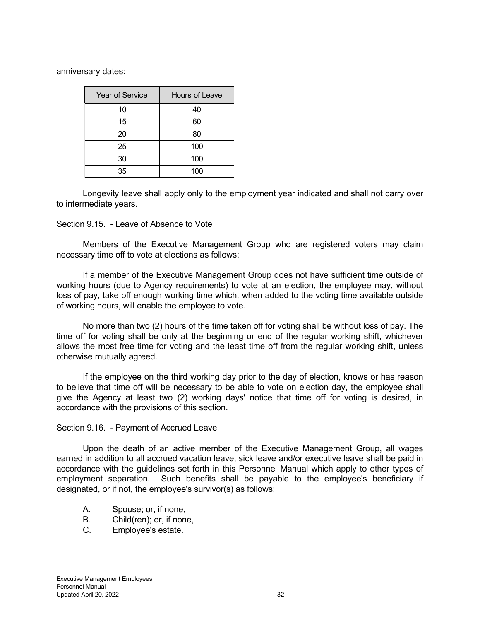anniversary dates:

| <b>Year of Service</b> | Hours of Leave |
|------------------------|----------------|
| 10                     | 40             |
| 15                     | 60             |
| 20                     | 80             |
| 25                     | 100            |
| 30                     | 100            |
| 35                     | 100            |

 Longevity leave shall apply only to the employment year indicated and shall not carry over to intermediate years.

#### Section 9.15. - Leave of Absence to Vote

 Members of the Executive Management Group who are registered voters may claim necessary time off to vote at elections as follows:

 If a member of the Executive Management Group does not have sufficient time outside of working hours (due to Agency requirements) to vote at an election, the employee may, without loss of pay, take off enough working time which, when added to the voting time available outside of working hours, will enable the employee to vote.

 No more than two (2) hours of the time taken off for voting shall be without loss of pay. The time off for voting shall be only at the beginning or end of the regular working shift, whichever allows the most free time for voting and the least time off from the regular working shift, unless otherwise mutually agreed.

 If the employee on the third working day prior to the day of election, knows or has reason to believe that time off will be necessary to be able to vote on election day, the employee shall give the Agency at least two (2) working days' notice that time off for voting is desired, in accordance with the provisions of this section.

#### Section 9.16. - Payment of Accrued Leave

 Upon the death of an active member of the Executive Management Group, all wages earned in addition to all accrued vacation leave, sick leave and/or executive leave shall be paid in accordance with the guidelines set forth in this Personnel Manual which apply to other types of employment separation. Such benefits shall be payable to the employee's beneficiary if designated, or if not, the employee's survivor(s) as follows:

- A. Spouse; or, if none,
- B. Child(ren); or, if none,
- C. Employee's estate.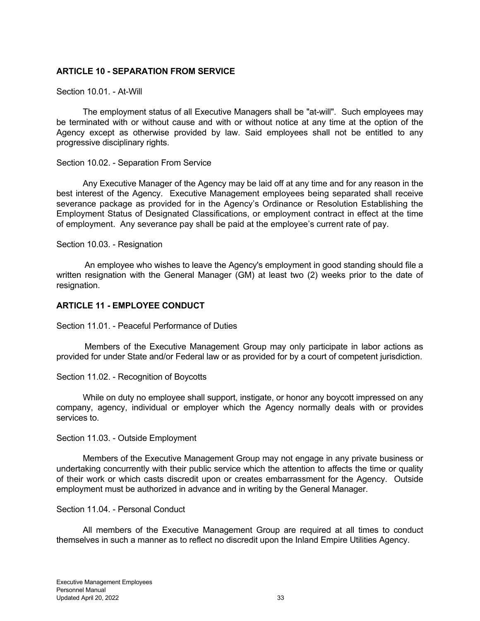## **ARTICLE 10 - SEPARATION FROM SERVICE**

#### Section 10.01. - At-Will

 The employment status of all Executive Managers shall be "at-will". Such employees may be terminated with or without cause and with or without notice at any time at the option of the Agency except as otherwise provided by law. Said employees shall not be entitled to any progressive disciplinary rights.

#### Section 10.02. - Separation From Service

 Any Executive Manager of the Agency may be laid off at any time and for any reason in the best interest of the Agency. Executive Management employees being separated shall receive severance package as provided for in the Agency's Ordinance or Resolution Establishing the Employment Status of Designated Classifications, or employment contract in effect at the time of employment. Any severance pay shall be paid at the employee's current rate of pay.

#### Section 10.03. - Resignation

 An employee who wishes to leave the Agency's employment in good standing should file a written resignation with the General Manager (GM) at least two (2) weeks prior to the date of resignation.

## **ARTICLE 11 - EMPLOYEE CONDUCT**

Section 11.01. - Peaceful Performance of Duties

 Members of the Executive Management Group may only participate in labor actions as provided for under State and/or Federal law or as provided for by a court of competent jurisdiction.

#### Section 11.02. - Recognition of Boycotts

 While on duty no employee shall support, instigate, or honor any boycott impressed on any company, agency, individual or employer which the Agency normally deals with or provides services to.

#### Section 11.03. - Outside Employment

 Members of the Executive Management Group may not engage in any private business or undertaking concurrently with their public service which the attention to affects the time or quality of their work or which casts discredit upon or creates embarrassment for the Agency. Outside employment must be authorized in advance and in writing by the General Manager.

#### Section 11.04. - Personal Conduct

 All members of the Executive Management Group are required at all times to conduct themselves in such a manner as to reflect no discredit upon the Inland Empire Utilities Agency.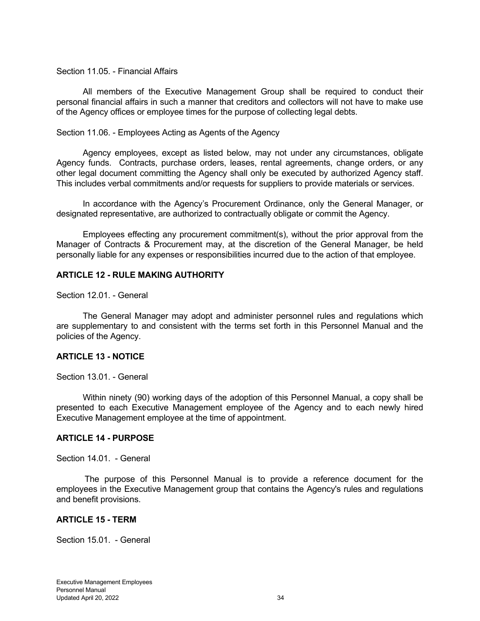#### Section 11.05. - Financial Affairs

 All members of the Executive Management Group shall be required to conduct their personal financial affairs in such a manner that creditors and collectors will not have to make use of the Agency offices or employee times for the purpose of collecting legal debts.

#### Section 11.06. - Employees Acting as Agents of the Agency

 Agency employees, except as listed below, may not under any circumstances, obligate Agency funds. Contracts, purchase orders, leases, rental agreements, change orders, or any other legal document committing the Agency shall only be executed by authorized Agency staff. This includes verbal commitments and/or requests for suppliers to provide materials or services.

 In accordance with the Agency's Procurement Ordinance, only the General Manager, or designated representative, are authorized to contractually obligate or commit the Agency.

 Employees effecting any procurement commitment(s), without the prior approval from the Manager of Contracts & Procurement may, at the discretion of the General Manager, be held personally liable for any expenses or responsibilities incurred due to the action of that employee.

#### **ARTICLE 12 - RULE MAKING AUTHORITY**

Section 12.01. - General

 The General Manager may adopt and administer personnel rules and regulations which are supplementary to and consistent with the terms set forth in this Personnel Manual and the policies of the Agency.

#### **ARTICLE 13 - NOTICE**

Section 13.01. - General

 Within ninety (90) working days of the adoption of this Personnel Manual, a copy shall be presented to each Executive Management employee of the Agency and to each newly hired Executive Management employee at the time of appointment.

#### **ARTICLE 14 - PURPOSE**

Section 14.01. - General

 The purpose of this Personnel Manual is to provide a reference document for the employees in the Executive Management group that contains the Agency's rules and regulations and benefit provisions.

#### **ARTICLE 15 - TERM**

Section 15.01. - General